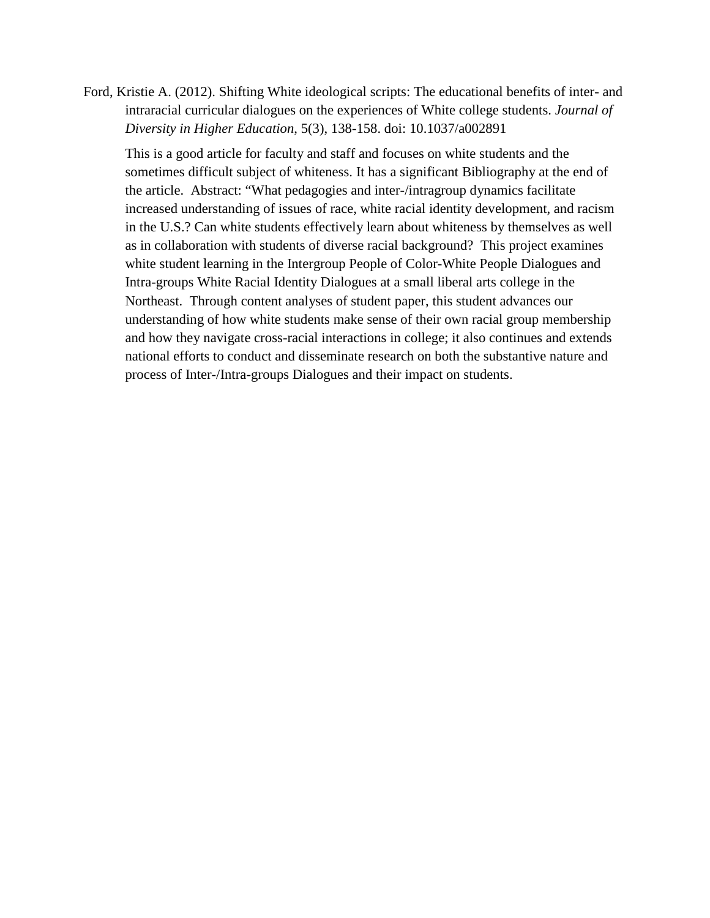Ford, Kristie A. (2012). Shifting White ideological scripts: The educational benefits of inter- and intraracial curricular dialogues on the experiences of White college students. *Journal of Diversity in Higher Education*, 5(3), 138-158. doi: 10.1037/a002891

This is a good article for faculty and staff and focuses on white students and the sometimes difficult subject of whiteness. It has a significant Bibliography at the end of the article. Abstract: "What pedagogies and inter-/intragroup dynamics facilitate increased understanding of issues of race, white racial identity development, and racism in the U.S.? Can white students effectively learn about whiteness by themselves as well as in collaboration with students of diverse racial background? This project examines white student learning in the Intergroup People of Color-White People Dialogues and Intra-groups White Racial Identity Dialogues at a small liberal arts college in the Northeast. Through content analyses of student paper, this student advances our understanding of how white students make sense of their own racial group membership and how they navigate cross-racial interactions in college; it also continues and extends national efforts to conduct and disseminate research on both the substantive nature and process of Inter-/Intra-groups Dialogues and their impact on students.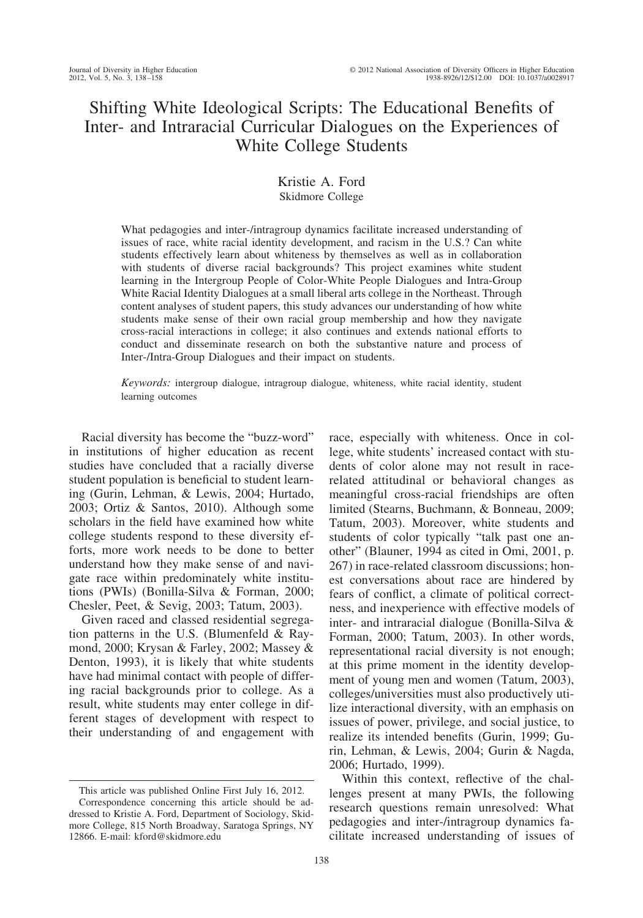# Shifting White Ideological Scripts: The Educational Benefits of Inter- and Intraracial Curricular Dialogues on the Experiences of White College Students

# Kristie A. Ford Skidmore College

What pedagogies and inter-/intragroup dynamics facilitate increased understanding of issues of race, white racial identity development, and racism in the U.S.? Can white students effectively learn about whiteness by themselves as well as in collaboration with students of diverse racial backgrounds? This project examines white student learning in the Intergroup People of Color-White People Dialogues and Intra-Group White Racial Identity Dialogues at a small liberal arts college in the Northeast. Through content analyses of student papers, this study advances our understanding of how white students make sense of their own racial group membership and how they navigate cross-racial interactions in college; it also continues and extends national efforts to conduct and disseminate research on both the substantive nature and process of Inter-/Intra-Group Dialogues and their impact on students.

*Keywords:* intergroup dialogue, intragroup dialogue, whiteness, white racial identity, student learning outcomes

Racial diversity has become the "buzz-word" in institutions of higher education as recent studies have concluded that a racially diverse student population is beneficial to student learning (Gurin, Lehman, & Lewis, 2004; Hurtado, 2003; Ortiz & Santos, 2010). Although some scholars in the field have examined how white college students respond to these diversity efforts, more work needs to be done to better understand how they make sense of and navigate race within predominately white institutions (PWIs) (Bonilla-Silva & Forman, 2000; Chesler, Peet, & Sevig, 2003; Tatum, 2003).

Given raced and classed residential segregation patterns in the U.S. (Blumenfeld & Raymond, 2000; Krysan & Farley, 2002; Massey & Denton, 1993), it is likely that white students have had minimal contact with people of differing racial backgrounds prior to college. As a result, white students may enter college in different stages of development with respect to their understanding of and engagement with race, especially with whiteness. Once in college, white students' increased contact with students of color alone may not result in racerelated attitudinal or behavioral changes as meaningful cross-racial friendships are often limited (Stearns, Buchmann, & Bonneau, 2009; Tatum, 2003). Moreover, white students and students of color typically "talk past one another" (Blauner, 1994 as cited in Omi, 2001, p. 267) in race-related classroom discussions; honest conversations about race are hindered by fears of conflict, a climate of political correctness, and inexperience with effective models of inter- and intraracial dialogue (Bonilla-Silva & Forman, 2000; Tatum, 2003). In other words, representational racial diversity is not enough; at this prime moment in the identity development of young men and women (Tatum, 2003), colleges/universities must also productively utilize interactional diversity, with an emphasis on issues of power, privilege, and social justice, to realize its intended benefits (Gurin, 1999; Gurin, Lehman, & Lewis, 2004; Gurin & Nagda, 2006; Hurtado, 1999).

Within this context, reflective of the challenges present at many PWIs, the following research questions remain unresolved: What pedagogies and inter-/intragroup dynamics facilitate increased understanding of issues of

This article was published Online First July 16, 2012.

Correspondence concerning this article should be addressed to Kristie A. Ford, Department of Sociology, Skidmore College, 815 North Broadway, Saratoga Springs, NY 12866. E-mail: kford@skidmore.edu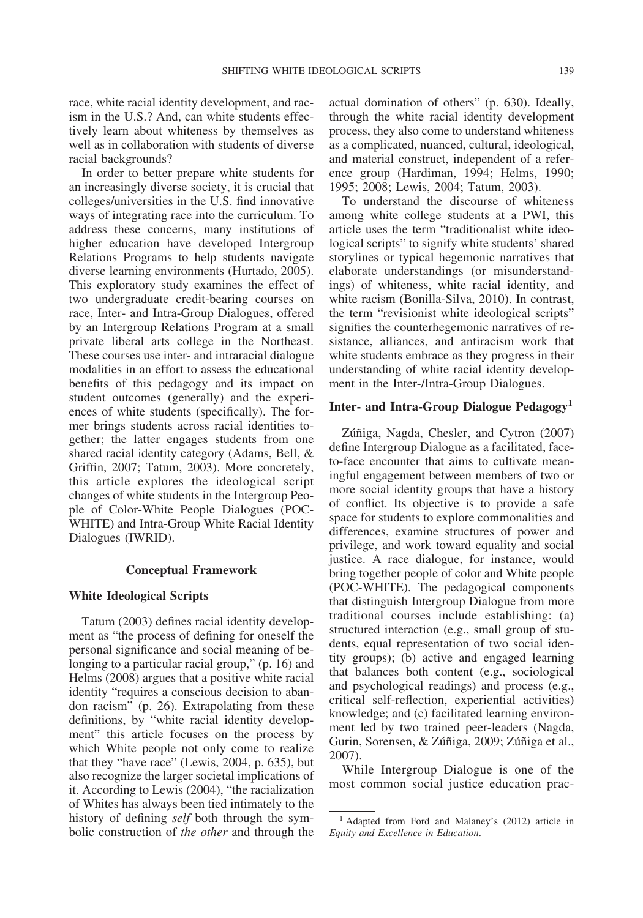race, white racial identity development, and racism in the U.S.? And, can white students effectively learn about whiteness by themselves as well as in collaboration with students of diverse racial backgrounds?

In order to better prepare white students for an increasingly diverse society, it is crucial that colleges/universities in the U.S. find innovative ways of integrating race into the curriculum. To address these concerns, many institutions of higher education have developed Intergroup Relations Programs to help students navigate diverse learning environments (Hurtado, 2005). This exploratory study examines the effect of two undergraduate credit-bearing courses on race, Inter- and Intra-Group Dialogues, offered by an Intergroup Relations Program at a small private liberal arts college in the Northeast. These courses use inter- and intraracial dialogue modalities in an effort to assess the educational benefits of this pedagogy and its impact on student outcomes (generally) and the experiences of white students (specifically). The former brings students across racial identities together; the latter engages students from one shared racial identity category (Adams, Bell, & Griffin, 2007; Tatum, 2003). More concretely, this article explores the ideological script changes of white students in the Intergroup People of Color-White People Dialogues (POC-WHITE) and Intra-Group White Racial Identity Dialogues (IWRID).

#### **Conceptual Framework**

### **White Ideological Scripts**

Tatum (2003) defines racial identity development as "the process of defining for oneself the personal significance and social meaning of belonging to a particular racial group," (p. 16) and Helms (2008) argues that a positive white racial identity "requires a conscious decision to abandon racism" (p. 26). Extrapolating from these definitions, by "white racial identity development" this article focuses on the process by which White people not only come to realize that they "have race" (Lewis, 2004, p. 635), but also recognize the larger societal implications of it. According to Lewis (2004), "the racialization of Whites has always been tied intimately to the history of defining *self* both through the symbolic construction of *the other* and through the

actual domination of others" (p. 630). Ideally, through the white racial identity development process, they also come to understand whiteness as a complicated, nuanced, cultural, ideological, and material construct, independent of a reference group (Hardiman, 1994; Helms, 1990; 1995; 2008; Lewis, 2004; Tatum, 2003).

To understand the discourse of whiteness among white college students at a PWI, this article uses the term "traditionalist white ideological scripts" to signify white students' shared storylines or typical hegemonic narratives that elaborate understandings (or misunderstandings) of whiteness, white racial identity, and white racism (Bonilla-Silva, 2010). In contrast, the term "revisionist white ideological scripts" signifies the counterhegemonic narratives of resistance, alliances, and antiracism work that white students embrace as they progress in their understanding of white racial identity development in the Inter-/Intra-Group Dialogues.

# **Inter- and Intra-Group Dialogue Pedagogy1**

Zúñiga, Nagda, Chesler, and Cytron (2007) define Intergroup Dialogue as a facilitated, faceto-face encounter that aims to cultivate meaningful engagement between members of two or more social identity groups that have a history of conflict. Its objective is to provide a safe space for students to explore commonalities and differences, examine structures of power and privilege, and work toward equality and social justice. A race dialogue, for instance, would bring together people of color and White people (POC-WHITE). The pedagogical components that distinguish Intergroup Dialogue from more traditional courses include establishing: (a) structured interaction (e.g., small group of students, equal representation of two social identity groups); (b) active and engaged learning that balances both content (e.g., sociological and psychological readings) and process (e.g., critical self-reflection, experiential activities) knowledge; and (c) facilitated learning environment led by two trained peer-leaders (Nagda, Gurin, Sorensen, & Zúñiga, 2009; Zúñiga et al., 2007).

While Intergroup Dialogue is one of the most common social justice education prac-

<sup>&</sup>lt;sup>1</sup> Adapted from Ford and Malaney's (2012) article in *Equity and Excellence in Education*.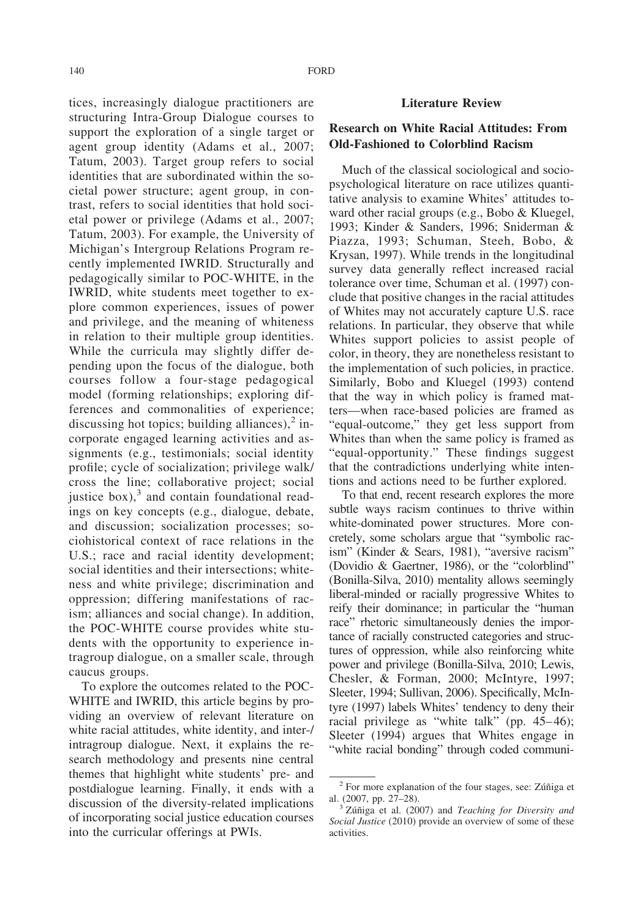tices, increasingly dialogue practitioners are structuring Intra-Group Dialogue courses to support the exploration of a single target or agent group identity (Adams et al., 2007; Tatum, 2003). Target group refers to social identities that are subordinated within the societal power structure; agent group, in contrast, refers to social identities that hold societal power or privilege (Adams et al., 2007; Tatum, 2003). For example, the University of Michigan's Intergroup Relations Program recently implemented IWRID. Structurally and pedagogically similar to POC-WHITE, in the IWRID, white students meet together to explore common experiences, issues of power and privilege, and the meaning of whiteness in relation to their multiple group identities. While the curricula may slightly differ depending upon the focus of the dialogue, both courses follow a four-stage pedagogical model (forming relationships; exploring differences and commonalities of experience; discussing hot topics; building alliances), $\frac{2}{3}$  incorporate engaged learning activities and assignments (e.g., testimonials; social identity profile; cycle of socialization; privilege walk/ cross the line; collaborative project; social justice box), $3$  and contain foundational readings on key concepts (e.g., dialogue, debate, and discussion; socialization processes; sociohistorical context of race relations in the U.S.; race and racial identity development; social identities and their intersections; whiteness and white privilege; discrimination and oppression; differing manifestations of racism; alliances and social change). In addition, the POC-WHITE course provides white students with the opportunity to experience intragroup dialogue, on a smaller scale, through caucus groups.

To explore the outcomes related to the POC-WHITE and IWRID, this article begins by providing an overview of relevant literature on white racial attitudes, white identity, and inter-/ intragroup dialogue. Next, it explains the research methodology and presents nine central themes that highlight white students' pre- and postdialogue learning. Finally, it ends with a discussion of the diversity-related implications of incorporating social justice education courses into the curricular offerings at PWIs.

#### **Literature Review**

# **Research on White Racial Attitudes: From Old-Fashioned to Colorblind Racism**

Much of the classical sociological and sociopsychological literature on race utilizes quantitative analysis to examine Whites' attitudes toward other racial groups (e.g., Bobo & Kluegel, 1993; Kinder & Sanders, 1996; Sniderman & Piazza, 1993; Schuman, Steeh, Bobo, & Krysan, 1997). While trends in the longitudinal survey data generally reflect increased racial tolerance over time, Schuman et al. (1997) conclude that positive changes in the racial attitudes of Whites may not accurately capture U.S. race relations. In particular, they observe that while Whites support policies to assist people of color, in theory, they are nonetheless resistant to the implementation of such policies, in practice. Similarly, Bobo and Kluegel (1993) contend that the way in which policy is framed matters—when race-based policies are framed as "equal-outcome," they get less support from Whites than when the same policy is framed as "equal-opportunity." These findings suggest that the contradictions underlying white intentions and actions need to be further explored.

To that end, recent research explores the more subtle ways racism continues to thrive within white-dominated power structures. More concretely, some scholars argue that "symbolic racism" (Kinder & Sears, 1981), "aversive racism" (Dovidio & Gaertner, 1986), or the "colorblind" (Bonilla-Silva, 2010) mentality allows seemingly liberal-minded or racially progressive Whites to reify their dominance; in particular the "human race" rhetoric simultaneously denies the importance of racially constructed categories and structures of oppression, while also reinforcing white power and privilege (Bonilla-Silva, 2010; Lewis, Chesler, & Forman, 2000; McIntyre, 1997; Sleeter, 1994; Sullivan, 2006). Specifically, McIntyre (1997) labels Whites' tendency to deny their racial privilege as "white talk" (pp. 45-46); Sleeter (1994) argues that Whites engage in "white racial bonding" through coded communi-

 $^2$  For more explanation of the four stages, see: Zúñiga et  $\,$ al. (2007, pp. 27–28).  $3 \text{ Zúñiga et al.}$  (2007) and *Teaching for Diversity and* 

*Social Justice* (2010) provide an overview of some of these activities.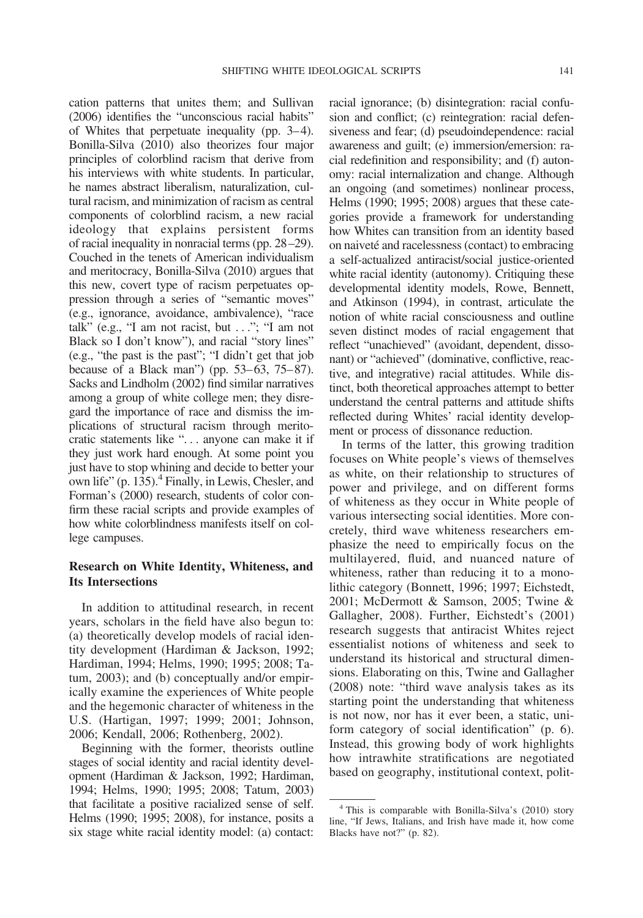cation patterns that unites them; and Sullivan (2006) identifies the "unconscious racial habits" of Whites that perpetuate inequality (pp. 3–4). Bonilla-Silva (2010) also theorizes four major principles of colorblind racism that derive from his interviews with white students. In particular, he names abstract liberalism, naturalization, cultural racism, and minimization of racism as central components of colorblind racism, a new racial ideology that explains persistent forms of racial inequality in nonracial terms (pp. 28 –29). Couched in the tenets of American individualism and meritocracy, Bonilla-Silva (2010) argues that this new, covert type of racism perpetuates oppression through a series of "semantic moves" (e.g., ignorance, avoidance, ambivalence), "race talk" (e.g., "I am not racist, but  $\ldots$ "; "I am not Black so I don't know"), and racial "story lines" (e.g., "the past is the past"; "I didn't get that job because of a Black man") (pp.  $53-63$ ,  $75-87$ ). Sacks and Lindholm (2002) find similar narratives among a group of white college men; they disregard the importance of race and dismiss the implications of structural racism through meritocratic statements like "... anyone can make it if they just work hard enough. At some point you just have to stop whining and decide to better your own life" (p.  $135$ ).<sup>4</sup> Finally, in Lewis, Chesler, and Forman's (2000) research, students of color confirm these racial scripts and provide examples of how white colorblindness manifests itself on college campuses.

## **Research on White Identity, Whiteness, and Its Intersections**

In addition to attitudinal research, in recent years, scholars in the field have also begun to: (a) theoretically develop models of racial identity development (Hardiman & Jackson, 1992; Hardiman, 1994; Helms, 1990; 1995; 2008; Tatum, 2003); and (b) conceptually and/or empirically examine the experiences of White people and the hegemonic character of whiteness in the U.S. (Hartigan, 1997; 1999; 2001; Johnson, 2006; Kendall, 2006; Rothenberg, 2002).

Beginning with the former, theorists outline stages of social identity and racial identity development (Hardiman & Jackson, 1992; Hardiman, 1994; Helms, 1990; 1995; 2008; Tatum, 2003) that facilitate a positive racialized sense of self. Helms (1990; 1995; 2008), for instance, posits a six stage white racial identity model: (a) contact:

racial ignorance; (b) disintegration: racial confusion and conflict; (c) reintegration: racial defensiveness and fear; (d) pseudoindependence: racial awareness and guilt; (e) immersion/emersion: racial redefinition and responsibility; and (f) autonomy: racial internalization and change. Although an ongoing (and sometimes) nonlinear process, Helms (1990; 1995; 2008) argues that these categories provide a framework for understanding how Whites can transition from an identity based on naiveté and racelessness (contact) to embracing a self-actualized antiracist/social justice-oriented white racial identity (autonomy). Critiquing these developmental identity models, Rowe, Bennett, and Atkinson (1994), in contrast, articulate the notion of white racial consciousness and outline seven distinct modes of racial engagement that reflect "unachieved" (avoidant, dependent, dissonant) or "achieved" (dominative, conflictive, reactive, and integrative) racial attitudes. While distinct, both theoretical approaches attempt to better understand the central patterns and attitude shifts reflected during Whites' racial identity development or process of dissonance reduction.

In terms of the latter, this growing tradition focuses on White people's views of themselves as white, on their relationship to structures of power and privilege, and on different forms of whiteness as they occur in White people of various intersecting social identities. More concretely, third wave whiteness researchers emphasize the need to empirically focus on the multilayered, fluid, and nuanced nature of whiteness, rather than reducing it to a monolithic category (Bonnett, 1996; 1997; Eichstedt, 2001; McDermott & Samson, 2005; Twine & Gallagher, 2008). Further, Eichstedt's (2001) research suggests that antiracist Whites reject essentialist notions of whiteness and seek to understand its historical and structural dimensions. Elaborating on this, Twine and Gallagher (2008) note: "third wave analysis takes as its starting point the understanding that whiteness is not now, nor has it ever been, a static, uniform category of social identification" (p. 6). Instead, this growing body of work highlights how intrawhite stratifications are negotiated based on geography, institutional context, polit-

<sup>4</sup> This is comparable with Bonilla-Silva's (2010) story line, "If Jews, Italians, and Irish have made it, how come Blacks have not?" (p. 82).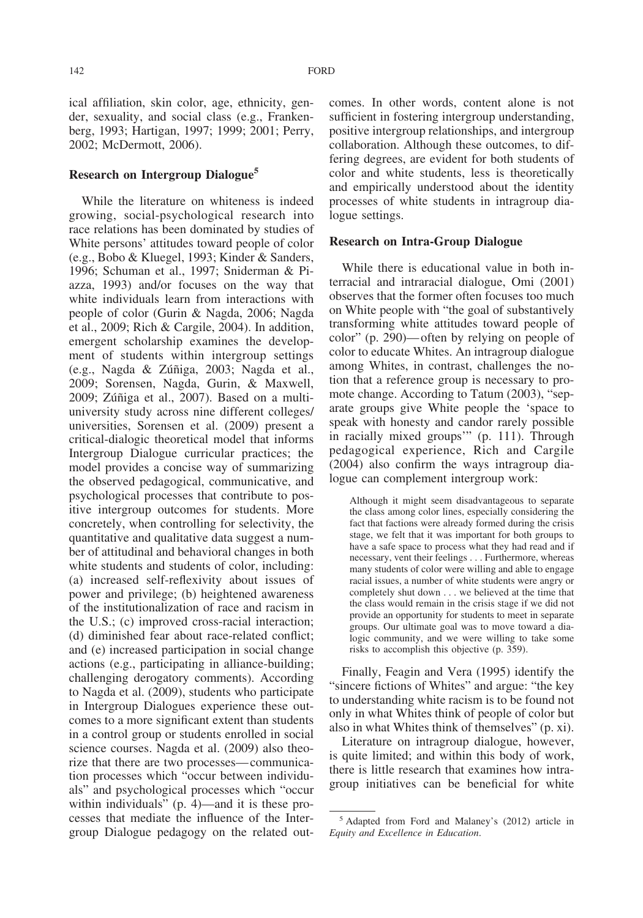ical affiliation, skin color, age, ethnicity, gender, sexuality, and social class (e.g., Frankenberg, 1993; Hartigan, 1997; 1999; 2001; Perry, 2002; McDermott, 2006).

### **Research on Intergroup Dialogue5**

While the literature on whiteness is indeed growing, social-psychological research into race relations has been dominated by studies of White persons' attitudes toward people of color (e.g., Bobo & Kluegel, 1993; Kinder & Sanders, 1996; Schuman et al., 1997; Sniderman & Piazza, 1993) and/or focuses on the way that white individuals learn from interactions with people of color (Gurin & Nagda, 2006; Nagda et al., 2009; Rich & Cargile, 2004). In addition, emergent scholarship examines the development of students within intergroup settings  $(e.g., Nagda & Zúñiga, 2003; Nagda et al.,)$ 2009; Sorensen, Nagda, Gurin, & Maxwell, 2009; Zúñiga et al., 2007). Based on a multiuniversity study across nine different colleges/ universities, Sorensen et al. (2009) present a critical-dialogic theoretical model that informs Intergroup Dialogue curricular practices; the model provides a concise way of summarizing the observed pedagogical, communicative, and psychological processes that contribute to positive intergroup outcomes for students. More concretely, when controlling for selectivity, the quantitative and qualitative data suggest a number of attitudinal and behavioral changes in both white students and students of color, including: (a) increased self-reflexivity about issues of power and privilege; (b) heightened awareness of the institutionalization of race and racism in the U.S.; (c) improved cross-racial interaction; (d) diminished fear about race-related conflict; and (e) increased participation in social change actions (e.g., participating in alliance-building; challenging derogatory comments). According to Nagda et al. (2009), students who participate in Intergroup Dialogues experience these outcomes to a more significant extent than students in a control group or students enrolled in social science courses. Nagda et al. (2009) also theorize that there are two processes— communication processes which "occur between individuals" and psychological processes which "occur within individuals" (p. 4)—and it is these processes that mediate the influence of the Intergroup Dialogue pedagogy on the related out-

comes. In other words, content alone is not sufficient in fostering intergroup understanding, positive intergroup relationships, and intergroup collaboration. Although these outcomes, to differing degrees, are evident for both students of color and white students, less is theoretically and empirically understood about the identity processes of white students in intragroup dialogue settings.

### **Research on Intra-Group Dialogue**

While there is educational value in both interracial and intraracial dialogue, Omi (2001) observes that the former often focuses too much on White people with "the goal of substantively transforming white attitudes toward people of color" (p. 290)— often by relying on people of color to educate Whites. An intragroup dialogue among Whites, in contrast, challenges the notion that a reference group is necessary to promote change. According to Tatum (2003), "separate groups give White people the 'space to speak with honesty and candor rarely possible in racially mixed groups'" (p. 111). Through pedagogical experience, Rich and Cargile (2004) also confirm the ways intragroup dialogue can complement intergroup work:

Although it might seem disadvantageous to separate the class among color lines, especially considering the fact that factions were already formed during the crisis stage, we felt that it was important for both groups to have a safe space to process what they had read and if necessary, vent their feelings . . . Furthermore, whereas many students of color were willing and able to engage racial issues, a number of white students were angry or completely shut down . . . we believed at the time that the class would remain in the crisis stage if we did not provide an opportunity for students to meet in separate groups. Our ultimate goal was to move toward a dialogic community, and we were willing to take some risks to accomplish this objective (p. 359).

Finally, Feagin and Vera (1995) identify the "sincere fictions of Whites" and argue: "the key to understanding white racism is to be found not only in what Whites think of people of color but also in what Whites think of themselves" (p. xi).

Literature on intragroup dialogue, however, is quite limited; and within this body of work, there is little research that examines how intragroup initiatives can be beneficial for white

<sup>5</sup> Adapted from Ford and Malaney's (2012) article in *Equity and Excellence in Education*.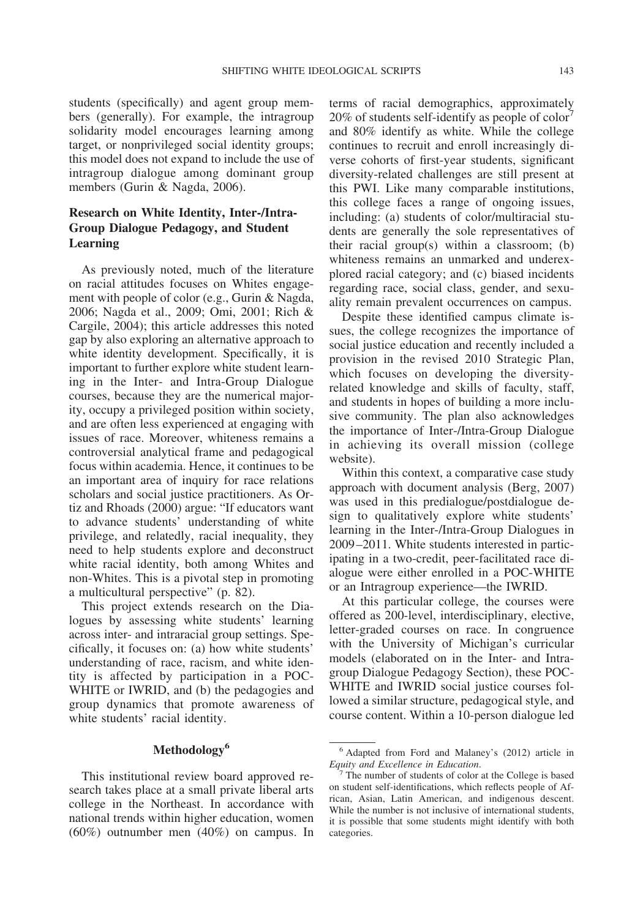students (specifically) and agent group members (generally). For example, the intragroup solidarity model encourages learning among target, or nonprivileged social identity groups; this model does not expand to include the use of intragroup dialogue among dominant group members (Gurin & Nagda, 2006).

# **Research on White Identity, Inter-/Intra-Group Dialogue Pedagogy, and Student Learning**

As previously noted, much of the literature on racial attitudes focuses on Whites engagement with people of color (e.g., Gurin & Nagda, 2006; Nagda et al., 2009; Omi, 2001; Rich & Cargile, 2004); this article addresses this noted gap by also exploring an alternative approach to white identity development. Specifically, it is important to further explore white student learning in the Inter- and Intra-Group Dialogue courses, because they are the numerical majority, occupy a privileged position within society, and are often less experienced at engaging with issues of race. Moreover, whiteness remains a controversial analytical frame and pedagogical focus within academia. Hence, it continues to be an important area of inquiry for race relations scholars and social justice practitioners. As Ortiz and Rhoads (2000) argue: "If educators want to advance students' understanding of white privilege, and relatedly, racial inequality, they need to help students explore and deconstruct white racial identity, both among Whites and non-Whites. This is a pivotal step in promoting a multicultural perspective" (p. 82).

This project extends research on the Dialogues by assessing white students' learning across inter- and intraracial group settings. Specifically, it focuses on: (a) how white students' understanding of race, racism, and white identity is affected by participation in a POC-WHITE or IWRID, and (b) the pedagogies and group dynamics that promote awareness of white students' racial identity.

### **Methodology6**

This institutional review board approved research takes place at a small private liberal arts college in the Northeast. In accordance with national trends within higher education, women (60%) outnumber men (40%) on campus. In terms of racial demographics, approximately  $20\%$  of students self-identify as people of color<sup>7</sup> and 80% identify as white. While the college continues to recruit and enroll increasingly diverse cohorts of first-year students, significant diversity-related challenges are still present at this PWI. Like many comparable institutions, this college faces a range of ongoing issues, including: (a) students of color/multiracial students are generally the sole representatives of their racial group(s) within a classroom; (b) whiteness remains an unmarked and underexplored racial category; and (c) biased incidents regarding race, social class, gender, and sexuality remain prevalent occurrences on campus.

Despite these identified campus climate issues, the college recognizes the importance of social justice education and recently included a provision in the revised 2010 Strategic Plan, which focuses on developing the diversityrelated knowledge and skills of faculty, staff, and students in hopes of building a more inclusive community. The plan also acknowledges the importance of Inter-/Intra-Group Dialogue in achieving its overall mission (college website).

Within this context, a comparative case study approach with document analysis (Berg, 2007) was used in this predialogue/postdialogue design to qualitatively explore white students' learning in the Inter-/Intra-Group Dialogues in 2009 –2011. White students interested in participating in a two-credit, peer-facilitated race dialogue were either enrolled in a POC-WHITE or an Intragroup experience—the IWRID.

At this particular college, the courses were offered as 200-level, interdisciplinary, elective, letter-graded courses on race. In congruence with the University of Michigan's curricular models (elaborated on in the Inter- and Intragroup Dialogue Pedagogy Section), these POC-WHITE and IWRID social justice courses followed a similar structure, pedagogical style, and course content. Within a 10-person dialogue led

<sup>6</sup> Adapted from Ford and Malaney's (2012) article in *Equity and Excellence in Education*.<br><sup>7</sup> The number of students of color at the College is based

on student self-identifications, which reflects people of African, Asian, Latin American, and indigenous descent. While the number is not inclusive of international students, it is possible that some students might identify with both categories.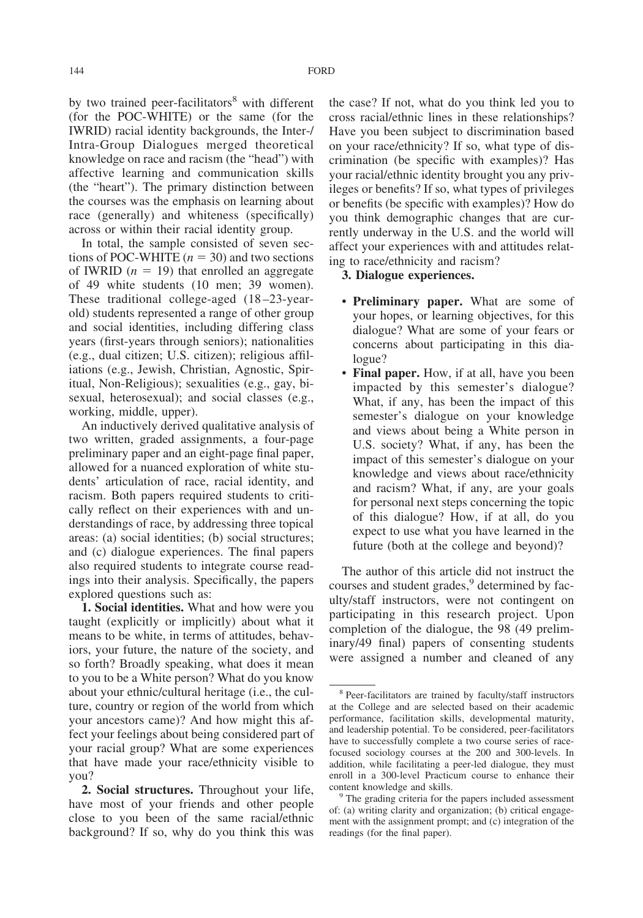by two trained peer-facilitators<sup>8</sup> with different (for the POC-WHITE) or the same (for the IWRID) racial identity backgrounds, the Inter-/ Intra-Group Dialogues merged theoretical knowledge on race and racism (the "head") with affective learning and communication skills (the "heart"). The primary distinction between the courses was the emphasis on learning about race (generally) and whiteness (specifically) across or within their racial identity group.

In total, the sample consisted of seven sections of POC-WHITE  $(n = 30)$  and two sections of IWRID  $(n = 19)$  that enrolled an aggregate of 49 white students (10 men; 39 women). These traditional college-aged (18 –23-yearold) students represented a range of other group and social identities, including differing class years (first-years through seniors); nationalities (e.g., dual citizen; U.S. citizen); religious affiliations (e.g., Jewish, Christian, Agnostic, Spiritual, Non-Religious); sexualities (e.g., gay, bisexual, heterosexual); and social classes (e.g., working, middle, upper).

An inductively derived qualitative analysis of two written, graded assignments, a four-page preliminary paper and an eight-page final paper, allowed for a nuanced exploration of white students' articulation of race, racial identity, and racism. Both papers required students to critically reflect on their experiences with and understandings of race, by addressing three topical areas: (a) social identities; (b) social structures; and (c) dialogue experiences. The final papers also required students to integrate course readings into their analysis. Specifically, the papers explored questions such as:

**1. Social identities.** What and how were you taught (explicitly or implicitly) about what it means to be white, in terms of attitudes, behaviors, your future, the nature of the society, and so forth? Broadly speaking, what does it mean to you to be a White person? What do you know about your ethnic/cultural heritage (i.e., the culture, country or region of the world from which your ancestors came)? And how might this affect your feelings about being considered part of your racial group? What are some experiences that have made your race/ethnicity visible to you?

**2. Social structures.** Throughout your life, have most of your friends and other people close to you been of the same racial/ethnic background? If so, why do you think this was the case? If not, what do you think led you to cross racial/ethnic lines in these relationships? Have you been subject to discrimination based on your race/ethnicity? If so, what type of discrimination (be specific with examples)? Has your racial/ethnic identity brought you any privileges or benefits? If so, what types of privileges or benefits (be specific with examples)? How do you think demographic changes that are currently underway in the U.S. and the world will affect your experiences with and attitudes relating to race/ethnicity and racism?

**3. Dialogue experiences.**

- **Preliminary paper.** What are some of your hopes, or learning objectives, for this dialogue? What are some of your fears or concerns about participating in this dialogue?
- **Final paper.** How, if at all, have you been impacted by this semester's dialogue? What, if any, has been the impact of this semester's dialogue on your knowledge and views about being a White person in U.S. society? What, if any, has been the impact of this semester's dialogue on your knowledge and views about race/ethnicity and racism? What, if any, are your goals for personal next steps concerning the topic of this dialogue? How, if at all, do you expect to use what you have learned in the future (both at the college and beyond)?

The author of this article did not instruct the courses and student grades,<sup>9</sup> determined by faculty/staff instructors, were not contingent on participating in this research project. Upon completion of the dialogue, the 98 (49 preliminary/49 final) papers of consenting students were assigned a number and cleaned of any

<sup>8</sup> Peer-facilitators are trained by faculty/staff instructors at the College and are selected based on their academic performance, facilitation skills, developmental maturity, and leadership potential. To be considered, peer-facilitators have to successfully complete a two course series of racefocused sociology courses at the 200 and 300-levels. In addition, while facilitating a peer-led dialogue, they must enroll in a 300-level Practicum course to enhance their content knowledge and skills.<br><sup>9</sup> The grading criteria for the papers included assessment

of: (a) writing clarity and organization; (b) critical engagement with the assignment prompt; and (c) integration of the readings (for the final paper).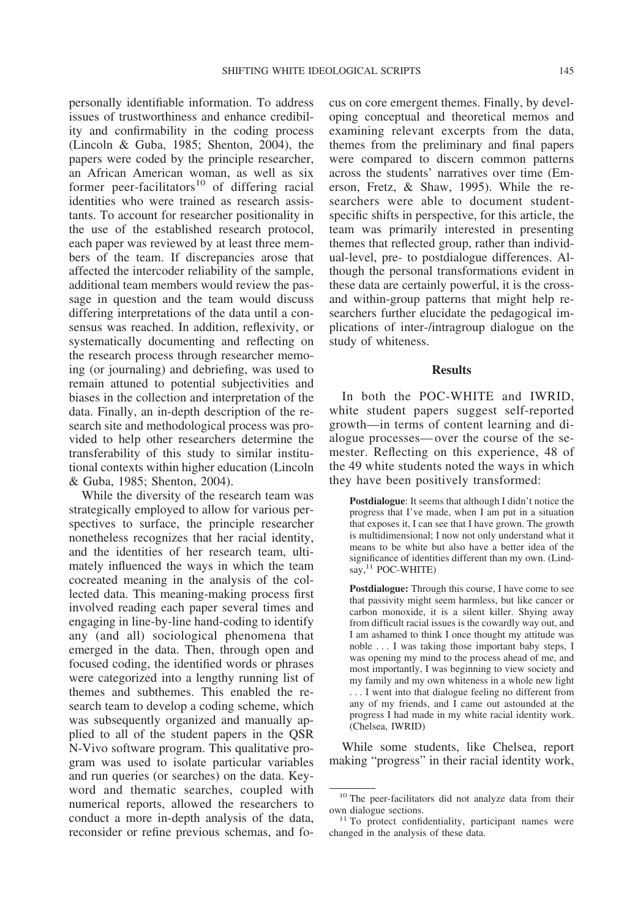personally identifiable information. To address issues of trustworthiness and enhance credibility and confirmability in the coding process (Lincoln & Guba, 1985; Shenton, 2004), the papers were coded by the principle researcher, an African American woman, as well as six former peer-facilitators<sup>10</sup> of differing racial identities who were trained as research assistants. To account for researcher positionality in the use of the established research protocol, each paper was reviewed by at least three members of the team. If discrepancies arose that affected the intercoder reliability of the sample, additional team members would review the passage in question and the team would discuss differing interpretations of the data until a consensus was reached. In addition, reflexivity, or systematically documenting and reflecting on the research process through researcher memoing (or journaling) and debriefing, was used to remain attuned to potential subjectivities and biases in the collection and interpretation of the data. Finally, an in-depth description of the research site and methodological process was provided to help other researchers determine the transferability of this study to similar institutional contexts within higher education (Lincoln & Guba, 1985; Shenton, 2004).

While the diversity of the research team was strategically employed to allow for various perspectives to surface, the principle researcher nonetheless recognizes that her racial identity, and the identities of her research team, ultimately influenced the ways in which the team cocreated meaning in the analysis of the collected data. This meaning-making process first involved reading each paper several times and engaging in line-by-line hand-coding to identify any (and all) sociological phenomena that emerged in the data. Then, through open and focused coding, the identified words or phrases were categorized into a lengthy running list of themes and subthemes. This enabled the research team to develop a coding scheme, which was subsequently organized and manually applied to all of the student papers in the QSR N-Vivo software program. This qualitative program was used to isolate particular variables and run queries (or searches) on the data. Keyword and thematic searches, coupled with numerical reports, allowed the researchers to conduct a more in-depth analysis of the data, reconsider or refine previous schemas, and focus on core emergent themes. Finally, by developing conceptual and theoretical memos and examining relevant excerpts from the data, themes from the preliminary and final papers were compared to discern common patterns across the students' narratives over time (Emerson, Fretz, & Shaw, 1995). While the researchers were able to document studentspecific shifts in perspective, for this article, the team was primarily interested in presenting themes that reflected group, rather than individual-level, pre- to postdialogue differences. Although the personal transformations evident in these data are certainly powerful, it is the crossand within-group patterns that might help researchers further elucidate the pedagogical implications of inter-/intragroup dialogue on the study of whiteness.

#### **Results**

In both the POC-WHITE and IWRID, white student papers suggest self-reported growth—in terms of content learning and dialogue processes— over the course of the semester. Reflecting on this experience, 48 of the 49 white students noted the ways in which they have been positively transformed:

**Postdialogue**: It seems that although I didn't notice the progress that I've made, when I am put in a situation that exposes it, I can see that I have grown. The growth is multidimensional; I now not only understand what it means to be white but also have a better idea of the significance of identities different than my own. (Lindsay, $11$  POC-WHITE)

**Postdialogue:** Through this course, I have come to see that passivity might seem harmless, but like cancer or carbon monoxide, it is a silent killer. Shying away from difficult racial issues is the cowardly way out, and I am ashamed to think I once thought my attitude was noble . . . I was taking those important baby steps, I was opening my mind to the process ahead of me, and most importantly, I was beginning to view society and my family and my own whiteness in a whole new light . . . I went into that dialogue feeling no different from any of my friends, and I came out astounded at the progress I had made in my white racial identity work. (Chelsea, IWRID)

While some students, like Chelsea, report making "progress" in their racial identity work,

<sup>10</sup> The peer-facilitators did not analyze data from their

own dialogue sections.<br><sup>11</sup> To protect confidentiality, participant names were changed in the analysis of these data.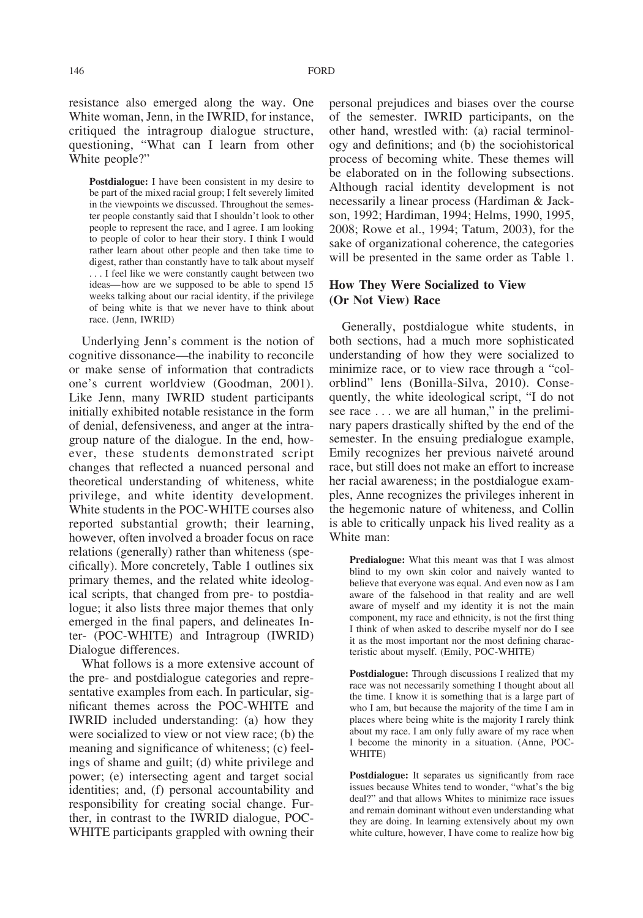resistance also emerged along the way. One White woman, Jenn, in the IWRID, for instance, critiqued the intragroup dialogue structure, questioning, "What can I learn from other White people?"

**Postdialogue:** I have been consistent in my desire to be part of the mixed racial group; I felt severely limited in the viewpoints we discussed. Throughout the semester people constantly said that I shouldn't look to other people to represent the race, and I agree. I am looking to people of color to hear their story. I think I would rather learn about other people and then take time to digest, rather than constantly have to talk about myself . . . I feel like we were constantly caught between two ideas— how are we supposed to be able to spend 15 weeks talking about our racial identity, if the privilege of being white is that we never have to think about race. (Jenn, IWRID)

Underlying Jenn's comment is the notion of cognitive dissonance—the inability to reconcile or make sense of information that contradicts one's current worldview (Goodman, 2001). Like Jenn, many IWRID student participants initially exhibited notable resistance in the form of denial, defensiveness, and anger at the intragroup nature of the dialogue. In the end, however, these students demonstrated script changes that reflected a nuanced personal and theoretical understanding of whiteness, white privilege, and white identity development. White students in the POC-WHITE courses also reported substantial growth; their learning, however, often involved a broader focus on race relations (generally) rather than whiteness (specifically). More concretely, Table 1 outlines six primary themes, and the related white ideological scripts, that changed from pre- to postdialogue; it also lists three major themes that only emerged in the final papers, and delineates Inter- (POC-WHITE) and Intragroup (IWRID) Dialogue differences.

What follows is a more extensive account of the pre- and postdialogue categories and representative examples from each. In particular, significant themes across the POC-WHITE and IWRID included understanding: (a) how they were socialized to view or not view race; (b) the meaning and significance of whiteness; (c) feelings of shame and guilt; (d) white privilege and power; (e) intersecting agent and target social identities; and, (f) personal accountability and responsibility for creating social change. Further, in contrast to the IWRID dialogue, POC-WHITE participants grappled with owning their

personal prejudices and biases over the course of the semester. IWRID participants, on the other hand, wrestled with: (a) racial terminology and definitions; and (b) the sociohistorical process of becoming white. These themes will be elaborated on in the following subsections. Although racial identity development is not necessarily a linear process (Hardiman & Jackson, 1992; Hardiman, 1994; Helms, 1990, 1995, 2008; Rowe et al., 1994; Tatum, 2003), for the sake of organizational coherence, the categories will be presented in the same order as Table 1.

# **How They Were Socialized to View (Or Not View) Race**

Generally, postdialogue white students, in both sections, had a much more sophisticated understanding of how they were socialized to minimize race, or to view race through a "colorblind" lens (Bonilla-Silva, 2010). Consequently, the white ideological script, "I do not see race . . . we are all human," in the preliminary papers drastically shifted by the end of the semester. In the ensuing predialogue example, Emily recognizes her previous naiveté around race, but still does not make an effort to increase her racial awareness; in the postdialogue examples, Anne recognizes the privileges inherent in the hegemonic nature of whiteness, and Collin is able to critically unpack his lived reality as a White man:

**Predialogue:** What this meant was that I was almost blind to my own skin color and naively wanted to believe that everyone was equal. And even now as I am aware of the falsehood in that reality and are well aware of myself and my identity it is not the main component, my race and ethnicity, is not the first thing I think of when asked to describe myself nor do I see it as the most important nor the most defining characteristic about myself. (Emily, POC-WHITE)

**Postdialogue:** Through discussions I realized that my race was not necessarily something I thought about all the time. I know it is something that is a large part of who I am, but because the majority of the time I am in places where being white is the majority I rarely think about my race. I am only fully aware of my race when I become the minority in a situation. (Anne, POC-WHITE)

**Postdialogue:** It separates us significantly from race issues because Whites tend to wonder, "what's the big deal?" and that allows Whites to minimize race issues and remain dominant without even understanding what they are doing. In learning extensively about my own white culture, however, I have come to realize how big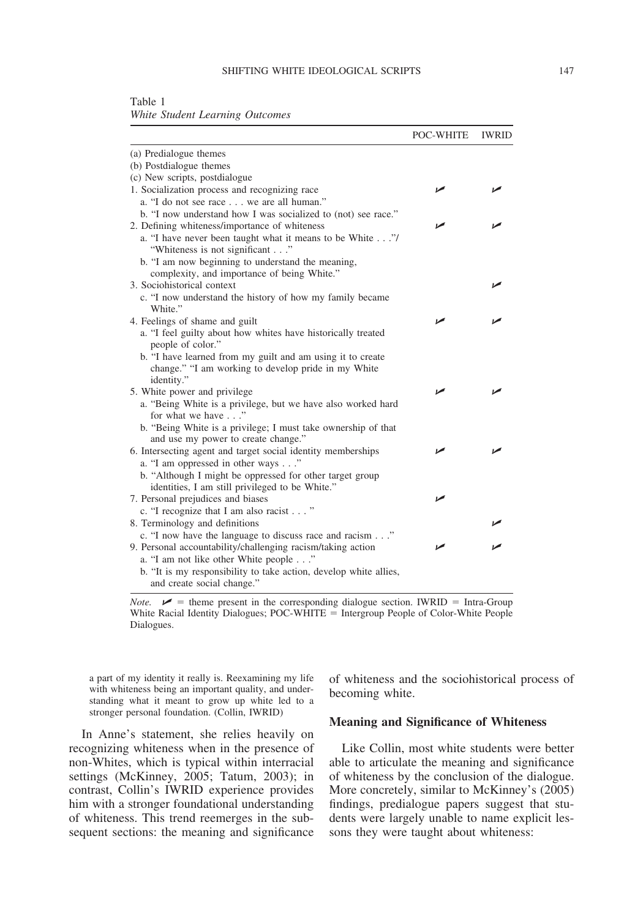Table 1 *White Student Learning Outcomes*

|                                                                                                      | POC-WHITE | <b>IWRID</b> |
|------------------------------------------------------------------------------------------------------|-----------|--------------|
| (a) Predialogue themes                                                                               |           |              |
| (b) Postdialogue themes                                                                              |           |              |
| (c) New scripts, postdialogue                                                                        |           |              |
| 1. Socialization process and recognizing race                                                        |           |              |
| a. "I do not see race we are all human."                                                             |           |              |
| b. "I now understand how I was socialized to (not) see race."                                        |           |              |
| 2. Defining whiteness/importance of whiteness                                                        |           |              |
| a. "I have never been taught what it means to be White"/<br>"Whiteness is not significant"           |           |              |
| b. "I am now beginning to understand the meaning,                                                    |           |              |
| complexity, and importance of being White."                                                          |           |              |
| 3. Sociohistorical context                                                                           |           |              |
| c. "I now understand the history of how my family became<br>White."                                  |           |              |
| 4. Feelings of shame and guilt                                                                       |           |              |
| a. "I feel guilty about how whites have historically treated<br>people of color."                    |           |              |
| b. "I have learned from my guilt and am using it to create                                           |           |              |
| change." "I am working to develop pride in my White<br>identity."                                    |           |              |
| 5. White power and privilege                                                                         | مما       |              |
| a. "Being White is a privilege, but we have also worked hard                                         |           |              |
| for what we have"                                                                                    |           |              |
| b. "Being White is a privilege; I must take ownership of that<br>and use my power to create change." |           |              |
| 6. Intersecting agent and target social identity memberships                                         |           |              |
| a. "I am oppressed in other ways"                                                                    |           |              |
| b. "Although I might be oppressed for other target group                                             |           |              |
| identities, I am still privileged to be White."                                                      |           |              |
| 7. Personal prejudices and biases                                                                    | مما       |              |
| c. "I recognize that I am also racist "                                                              |           |              |
| 8. Terminology and definitions                                                                       |           |              |
| c. "I now have the language to discuss race and racism"                                              |           |              |
| 9. Personal accountability/challenging racism/taking action                                          |           |              |
| a. "I am not like other White people"                                                                |           |              |
| b. "It is my responsibility to take action, develop white allies,<br>and create social change."      |           |              |

*Note.*  $\blacktriangleright$  = theme present in the corresponding dialogue section. IWRID = Intra-Group White Racial Identity Dialogues; POC-WHITE  $=$  Intergroup People of Color-White People Dialogues.

a part of my identity it really is. Reexamining my life with whiteness being an important quality, and understanding what it meant to grow up white led to a stronger personal foundation. (Collin, IWRID)

In Anne's statement, she relies heavily on recognizing whiteness when in the presence of non-Whites, which is typical within interracial settings (McKinney, 2005; Tatum, 2003); in contrast, Collin's IWRID experience provides him with a stronger foundational understanding of whiteness. This trend reemerges in the subsequent sections: the meaning and significance of whiteness and the sociohistorical process of becoming white.

### **Meaning and Significance of Whiteness**

Like Collin, most white students were better able to articulate the meaning and significance of whiteness by the conclusion of the dialogue. More concretely, similar to McKinney's (2005) findings, predialogue papers suggest that students were largely unable to name explicit lessons they were taught about whiteness: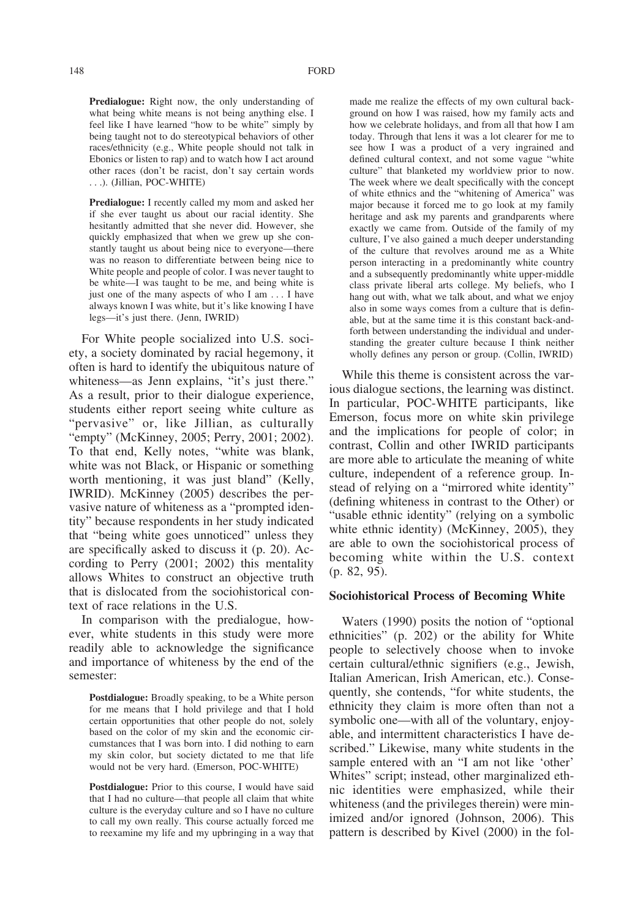**Predialogue:** Right now, the only understanding of what being white means is not being anything else. I feel like I have learned "how to be white" simply by being taught not to do stereotypical behaviors of other races/ethnicity (e.g., White people should not talk in Ebonics or listen to rap) and to watch how I act around other races (don't be racist, don't say certain words . . .). (Jillian, POC-WHITE)

**Predialogue:** I recently called my mom and asked her if she ever taught us about our racial identity. She hesitantly admitted that she never did. However, she quickly emphasized that when we grew up she constantly taught us about being nice to everyone—there was no reason to differentiate between being nice to White people and people of color. I was never taught to be white—I was taught to be me, and being white is just one of the many aspects of who I am . . . I have always known I was white, but it's like knowing I have legs—it's just there. (Jenn, IWRID)

For White people socialized into U.S. society, a society dominated by racial hegemony, it often is hard to identify the ubiquitous nature of whiteness—as Jenn explains, "it's just there." As a result, prior to their dialogue experience, students either report seeing white culture as "pervasive" or, like Jillian, as culturally "empty" (McKinney, 2005; Perry, 2001; 2002). To that end, Kelly notes, "white was blank, white was not Black, or Hispanic or something worth mentioning, it was just bland" (Kelly, IWRID). McKinney (2005) describes the pervasive nature of whiteness as a "prompted identity" because respondents in her study indicated that "being white goes unnoticed" unless they are specifically asked to discuss it (p. 20). According to Perry (2001; 2002) this mentality allows Whites to construct an objective truth that is dislocated from the sociohistorical context of race relations in the U.S.

In comparison with the predialogue, however, white students in this study were more readily able to acknowledge the significance and importance of whiteness by the end of the semester:

**Postdialogue:** Broadly speaking, to be a White person for me means that I hold privilege and that I hold certain opportunities that other people do not, solely based on the color of my skin and the economic circumstances that I was born into. I did nothing to earn my skin color, but society dictated to me that life would not be very hard. (Emerson, POC-WHITE)

**Postdialogue:** Prior to this course, I would have said that I had no culture—that people all claim that white culture is the everyday culture and so I have no culture to call my own really. This course actually forced me to reexamine my life and my upbringing in a way that made me realize the effects of my own cultural background on how I was raised, how my family acts and how we celebrate holidays, and from all that how I am today. Through that lens it was a lot clearer for me to see how I was a product of a very ingrained and defined cultural context, and not some vague "white culture" that blanketed my worldview prior to now. The week where we dealt specifically with the concept of white ethnics and the "whitening of America" was major because it forced me to go look at my family heritage and ask my parents and grandparents where exactly we came from. Outside of the family of my culture, I've also gained a much deeper understanding of the culture that revolves around me as a White person interacting in a predominantly white country and a subsequently predominantly white upper-middle class private liberal arts college. My beliefs, who I hang out with, what we talk about, and what we enjoy also in some ways comes from a culture that is definable, but at the same time it is this constant back-andforth between understanding the individual and understanding the greater culture because I think neither wholly defines any person or group. (Collin, IWRID)

While this theme is consistent across the various dialogue sections, the learning was distinct. In particular, POC-WHITE participants, like Emerson, focus more on white skin privilege and the implications for people of color; in contrast, Collin and other IWRID participants are more able to articulate the meaning of white culture, independent of a reference group. Instead of relying on a "mirrored white identity" (defining whiteness in contrast to the Other) or "usable ethnic identity" (relying on a symbolic white ethnic identity) (McKinney, 2005), they are able to own the sociohistorical process of becoming white within the U.S. context (p. 82, 95).

### **Sociohistorical Process of Becoming White**

Waters (1990) posits the notion of "optional ethnicities" (p. 202) or the ability for White people to selectively choose when to invoke certain cultural/ethnic signifiers (e.g., Jewish, Italian American, Irish American, etc.). Consequently, she contends, "for white students, the ethnicity they claim is more often than not a symbolic one—with all of the voluntary, enjoyable, and intermittent characteristics I have described." Likewise, many white students in the sample entered with an "I am not like 'other' Whites" script; instead, other marginalized ethnic identities were emphasized, while their whiteness (and the privileges therein) were minimized and/or ignored (Johnson, 2006). This pattern is described by Kivel (2000) in the fol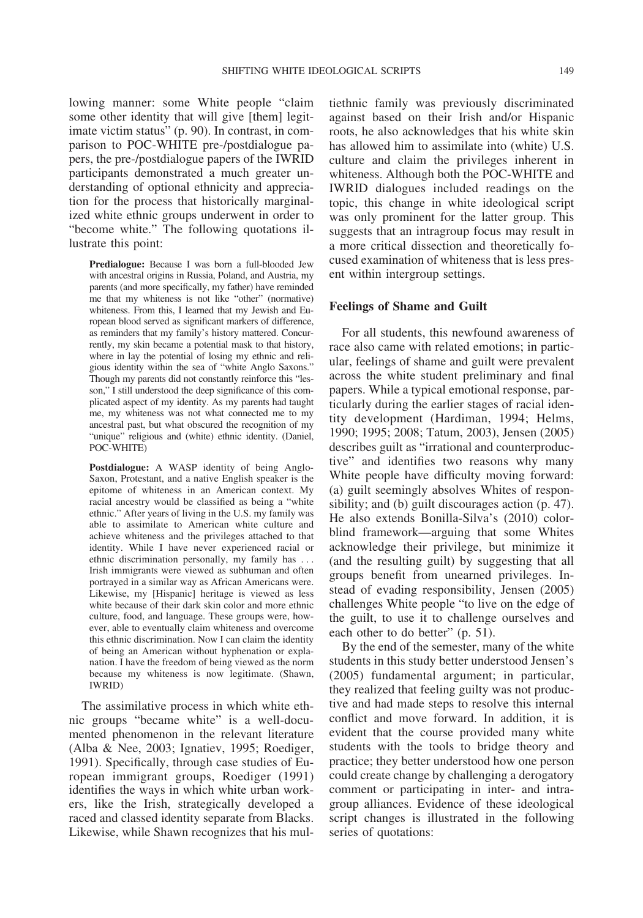lowing manner: some White people "claim some other identity that will give [them] legitimate victim status" (p. 90). In contrast, in comparison to POC-WHITE pre-/postdialogue papers, the pre-/postdialogue papers of the IWRID participants demonstrated a much greater understanding of optional ethnicity and appreciation for the process that historically marginalized white ethnic groups underwent in order to "become white." The following quotations illustrate this point:

**Predialogue:** Because I was born a full-blooded Jew with ancestral origins in Russia, Poland, and Austria, my parents (and more specifically, my father) have reminded me that my whiteness is not like "other" (normative) whiteness. From this, I learned that my Jewish and European blood served as significant markers of difference, as reminders that my family's history mattered. Concurrently, my skin became a potential mask to that history, where in lay the potential of losing my ethnic and religious identity within the sea of "white Anglo Saxons." Though my parents did not constantly reinforce this "lesson," I still understood the deep significance of this complicated aspect of my identity. As my parents had taught me, my whiteness was not what connected me to my ancestral past, but what obscured the recognition of my "unique" religious and (white) ethnic identity. (Daniel, POC-WHITE)

**Postdialogue:** A WASP identity of being Anglo-Saxon, Protestant, and a native English speaker is the epitome of whiteness in an American context. My racial ancestry would be classified as being a "white ethnic." After years of living in the U.S. my family was able to assimilate to American white culture and achieve whiteness and the privileges attached to that identity. While I have never experienced racial or ethnic discrimination personally, my family has . . . Irish immigrants were viewed as subhuman and often portrayed in a similar way as African Americans were. Likewise, my [Hispanic] heritage is viewed as less white because of their dark skin color and more ethnic culture, food, and language. These groups were, however, able to eventually claim whiteness and overcome this ethnic discrimination. Now I can claim the identity of being an American without hyphenation or explanation. I have the freedom of being viewed as the norm because my whiteness is now legitimate. (Shawn, IWRID)

The assimilative process in which white ethnic groups "became white" is a well-documented phenomenon in the relevant literature (Alba & Nee, 2003; Ignatiev, 1995; Roediger, 1991). Specifically, through case studies of European immigrant groups, Roediger (1991) identifies the ways in which white urban workers, like the Irish, strategically developed a raced and classed identity separate from Blacks. Likewise, while Shawn recognizes that his mul-

tiethnic family was previously discriminated against based on their Irish and/or Hispanic roots, he also acknowledges that his white skin has allowed him to assimilate into (white) U.S. culture and claim the privileges inherent in whiteness. Although both the POC-WHITE and IWRID dialogues included readings on the topic, this change in white ideological script was only prominent for the latter group. This suggests that an intragroup focus may result in a more critical dissection and theoretically focused examination of whiteness that is less present within intergroup settings.

#### **Feelings of Shame and Guilt**

For all students, this newfound awareness of race also came with related emotions; in particular, feelings of shame and guilt were prevalent across the white student preliminary and final papers. While a typical emotional response, particularly during the earlier stages of racial identity development (Hardiman, 1994; Helms, 1990; 1995; 2008; Tatum, 2003), Jensen (2005) describes guilt as "irrational and counterproductive" and identifies two reasons why many White people have difficulty moving forward: (a) guilt seemingly absolves Whites of responsibility; and (b) guilt discourages action (p. 47). He also extends Bonilla-Silva's (2010) colorblind framework—arguing that some Whites acknowledge their privilege, but minimize it (and the resulting guilt) by suggesting that all groups benefit from unearned privileges. Instead of evading responsibility, Jensen (2005) challenges White people "to live on the edge of the guilt, to use it to challenge ourselves and each other to do better" (p. 51).

By the end of the semester, many of the white students in this study better understood Jensen's (2005) fundamental argument; in particular, they realized that feeling guilty was not productive and had made steps to resolve this internal conflict and move forward. In addition, it is evident that the course provided many white students with the tools to bridge theory and practice; they better understood how one person could create change by challenging a derogatory comment or participating in inter- and intragroup alliances. Evidence of these ideological script changes is illustrated in the following series of quotations: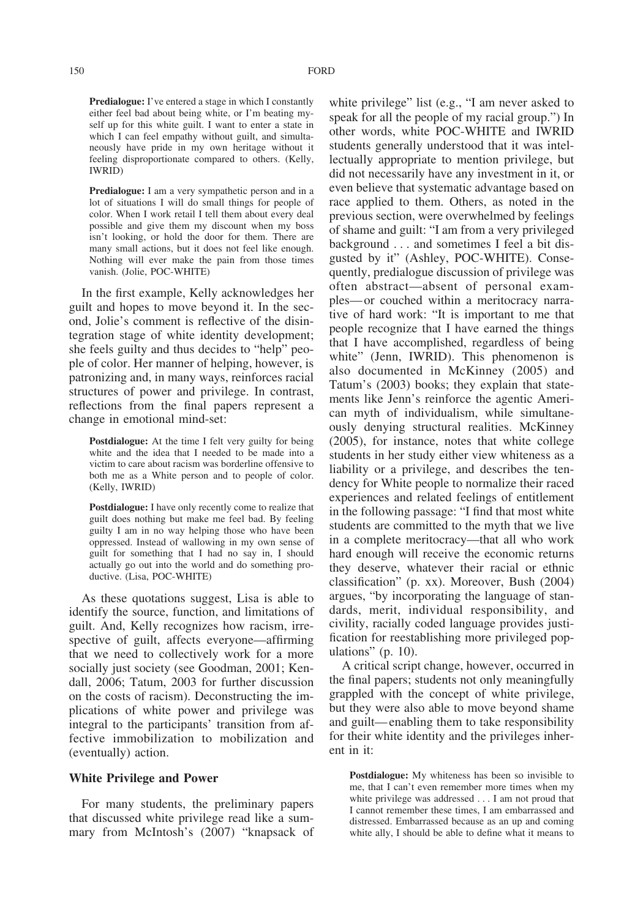**Predialogue:** I've entered a stage in which I constantly either feel bad about being white, or I'm beating myself up for this white guilt. I want to enter a state in which I can feel empathy without guilt, and simultaneously have pride in my own heritage without it feeling disproportionate compared to others. (Kelly, IWRID)

**Predialogue:** I am a very sympathetic person and in a lot of situations I will do small things for people of color. When I work retail I tell them about every deal possible and give them my discount when my boss isn't looking, or hold the door for them. There are many small actions, but it does not feel like enough. Nothing will ever make the pain from those times vanish. (Jolie, POC-WHITE)

In the first example, Kelly acknowledges her guilt and hopes to move beyond it. In the second, Jolie's comment is reflective of the disintegration stage of white identity development; she feels guilty and thus decides to "help" people of color. Her manner of helping, however, is patronizing and, in many ways, reinforces racial structures of power and privilege. In contrast, reflections from the final papers represent a change in emotional mind-set:

**Postdialogue:** At the time I felt very guilty for being white and the idea that I needed to be made into a victim to care about racism was borderline offensive to both me as a White person and to people of color. (Kelly, IWRID)

**Postdialogue:** I have only recently come to realize that guilt does nothing but make me feel bad. By feeling guilty I am in no way helping those who have been oppressed. Instead of wallowing in my own sense of guilt for something that I had no say in, I should actually go out into the world and do something productive. (Lisa, POC-WHITE)

As these quotations suggest, Lisa is able to identify the source, function, and limitations of guilt. And, Kelly recognizes how racism, irrespective of guilt, affects everyone—affirming that we need to collectively work for a more socially just society (see Goodman, 2001; Kendall, 2006; Tatum, 2003 for further discussion on the costs of racism). Deconstructing the implications of white power and privilege was integral to the participants' transition from affective immobilization to mobilization and (eventually) action.

### **White Privilege and Power**

For many students, the preliminary papers that discussed white privilege read like a summary from McIntosh's (2007) "knapsack of

white privilege" list (e.g., "I am never asked to speak for all the people of my racial group.") In other words, white POC-WHITE and IWRID students generally understood that it was intellectually appropriate to mention privilege, but did not necessarily have any investment in it, or even believe that systematic advantage based on race applied to them. Others, as noted in the previous section, were overwhelmed by feelings of shame and guilt: "I am from a very privileged background . . . and sometimes I feel a bit disgusted by it" (Ashley, POC-WHITE). Consequently, predialogue discussion of privilege was often abstract—absent of personal examples— or couched within a meritocracy narrative of hard work: "It is important to me that people recognize that I have earned the things that I have accomplished, regardless of being white" (Jenn, IWRID). This phenomenon is also documented in McKinney (2005) and Tatum's (2003) books; they explain that statements like Jenn's reinforce the agentic American myth of individualism, while simultaneously denying structural realities. McKinney (2005), for instance, notes that white college students in her study either view whiteness as a liability or a privilege, and describes the tendency for White people to normalize their raced experiences and related feelings of entitlement in the following passage: "I find that most white students are committed to the myth that we live in a complete meritocracy—that all who work hard enough will receive the economic returns they deserve, whatever their racial or ethnic classification" (p. xx). Moreover, Bush (2004) argues, "by incorporating the language of standards, merit, individual responsibility, and civility, racially coded language provides justification for reestablishing more privileged populations" (p. 10).

A critical script change, however, occurred in the final papers; students not only meaningfully grappled with the concept of white privilege, but they were also able to move beyond shame and guilt— enabling them to take responsibility for their white identity and the privileges inherent in it:

**Postdialogue:** My whiteness has been so invisible to me, that I can't even remember more times when my white privilege was addressed . . . I am not proud that I cannot remember these times, I am embarrassed and distressed. Embarrassed because as an up and coming white ally, I should be able to define what it means to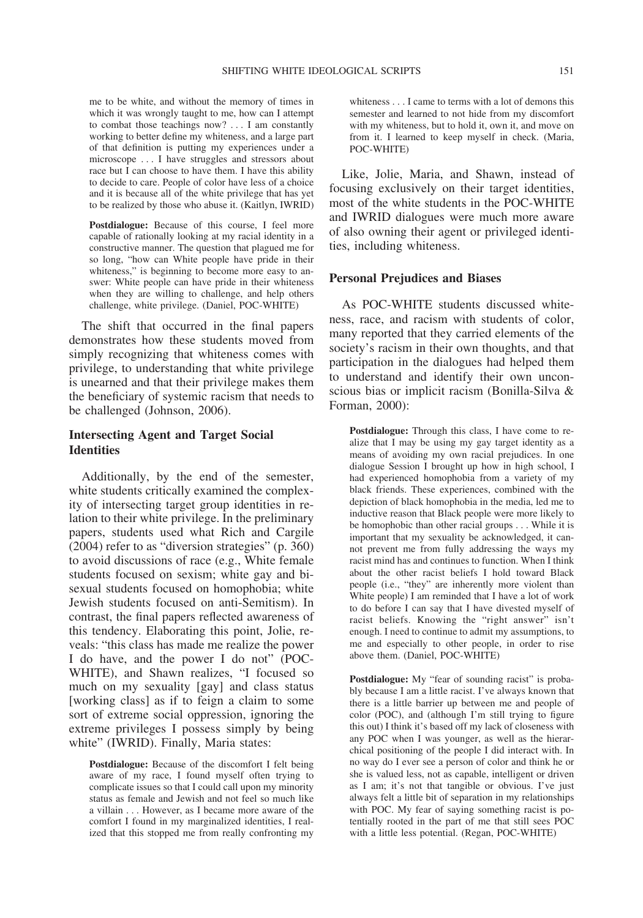me to be white, and without the memory of times in which it was wrongly taught to me, how can I attempt to combat those teachings now? . . . I am constantly working to better define my whiteness, and a large part of that definition is putting my experiences under a microscope . . . I have struggles and stressors about race but I can choose to have them. I have this ability to decide to care. People of color have less of a choice and it is because all of the white privilege that has yet to be realized by those who abuse it. (Kaitlyn, IWRID)

**Postdialogue:** Because of this course, I feel more capable of rationally looking at my racial identity in a constructive manner. The question that plagued me for so long, "how can White people have pride in their whiteness," is beginning to become more easy to answer: White people can have pride in their whiteness when they are willing to challenge, and help others challenge, white privilege. (Daniel, POC-WHITE)

The shift that occurred in the final papers demonstrates how these students moved from simply recognizing that whiteness comes with privilege, to understanding that white privilege is unearned and that their privilege makes them the beneficiary of systemic racism that needs to be challenged (Johnson, 2006).

# **Intersecting Agent and Target Social Identities**

Additionally, by the end of the semester, white students critically examined the complexity of intersecting target group identities in relation to their white privilege. In the preliminary papers, students used what Rich and Cargile (2004) refer to as "diversion strategies" (p. 360) to avoid discussions of race (e.g., White female students focused on sexism; white gay and bisexual students focused on homophobia; white Jewish students focused on anti-Semitism). In contrast, the final papers reflected awareness of this tendency. Elaborating this point, Jolie, reveals: "this class has made me realize the power I do have, and the power I do not" (POC-WHITE), and Shawn realizes, "I focused so much on my sexuality [gay] and class status [working class] as if to feign a claim to some sort of extreme social oppression, ignoring the extreme privileges I possess simply by being white" (IWRID). Finally, Maria states:

**Postdialogue:** Because of the discomfort I felt being aware of my race, I found myself often trying to complicate issues so that I could call upon my minority status as female and Jewish and not feel so much like a villain . . . However, as I became more aware of the comfort I found in my marginalized identities, I realized that this stopped me from really confronting my

whiteness . . . I came to terms with a lot of demons this semester and learned to not hide from my discomfort with my whiteness, but to hold it, own it, and move on from it. I learned to keep myself in check. (Maria, POC-WHITE)

Like, Jolie, Maria, and Shawn, instead of focusing exclusively on their target identities, most of the white students in the POC-WHITE and IWRID dialogues were much more aware of also owning their agent or privileged identities, including whiteness.

### **Personal Prejudices and Biases**

As POC-WHITE students discussed whiteness, race, and racism with students of color, many reported that they carried elements of the society's racism in their own thoughts, and that participation in the dialogues had helped them to understand and identify their own unconscious bias or implicit racism (Bonilla-Silva & Forman, 2000):

**Postdialogue:** Through this class, I have come to realize that I may be using my gay target identity as a means of avoiding my own racial prejudices. In one dialogue Session I brought up how in high school, I had experienced homophobia from a variety of my black friends. These experiences, combined with the depiction of black homophobia in the media, led me to inductive reason that Black people were more likely to be homophobic than other racial groups . . . While it is important that my sexuality be acknowledged, it cannot prevent me from fully addressing the ways my racist mind has and continues to function. When I think about the other racist beliefs I hold toward Black people (i.e., "they" are inherently more violent than White people) I am reminded that I have a lot of work to do before I can say that I have divested myself of racist beliefs. Knowing the "right answer" isn't enough. I need to continue to admit my assumptions, to me and especially to other people, in order to rise above them. (Daniel, POC-WHITE)

Postdialogue: My "fear of sounding racist" is probably because I am a little racist. I've always known that there is a little barrier up between me and people of color (POC), and (although I'm still trying to figure this out) I think it's based off my lack of closeness with any POC when I was younger, as well as the hierarchical positioning of the people I did interact with. In no way do I ever see a person of color and think he or she is valued less, not as capable, intelligent or driven as I am; it's not that tangible or obvious. I've just always felt a little bit of separation in my relationships with POC. My fear of saying something racist is potentially rooted in the part of me that still sees POC with a little less potential. (Regan, POC-WHITE)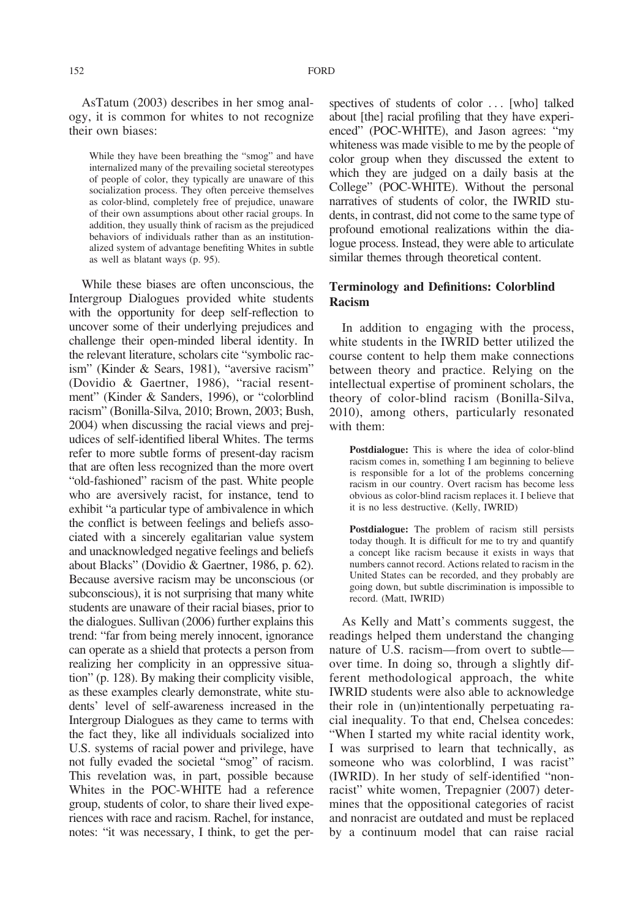AsTatum (2003) describes in her smog analogy, it is common for whites to not recognize their own biases:

While they have been breathing the "smog" and have internalized many of the prevailing societal stereotypes of people of color, they typically are unaware of this socialization process. They often perceive themselves as color-blind, completely free of prejudice, unaware of their own assumptions about other racial groups. In addition, they usually think of racism as the prejudiced behaviors of individuals rather than as an institutionalized system of advantage benefiting Whites in subtle as well as blatant ways (p. 95).

While these biases are often unconscious, the Intergroup Dialogues provided white students with the opportunity for deep self-reflection to uncover some of their underlying prejudices and challenge their open-minded liberal identity. In the relevant literature, scholars cite "symbolic racism" (Kinder & Sears, 1981), "aversive racism" (Dovidio & Gaertner, 1986), "racial resentment" (Kinder & Sanders, 1996), or "colorblind racism" (Bonilla-Silva, 2010; Brown, 2003; Bush, 2004) when discussing the racial views and prejudices of self-identified liberal Whites. The terms refer to more subtle forms of present-day racism that are often less recognized than the more overt "old-fashioned" racism of the past. White people who are aversively racist, for instance, tend to exhibit "a particular type of ambivalence in which the conflict is between feelings and beliefs associated with a sincerely egalitarian value system and unacknowledged negative feelings and beliefs about Blacks" (Dovidio & Gaertner, 1986, p. 62). Because aversive racism may be unconscious (or subconscious), it is not surprising that many white students are unaware of their racial biases, prior to the dialogues. Sullivan (2006) further explains this trend: "far from being merely innocent, ignorance can operate as a shield that protects a person from realizing her complicity in an oppressive situation" (p. 128). By making their complicity visible, as these examples clearly demonstrate, white students' level of self-awareness increased in the Intergroup Dialogues as they came to terms with the fact they, like all individuals socialized into U.S. systems of racial power and privilege, have not fully evaded the societal "smog" of racism. This revelation was, in part, possible because Whites in the POC-WHITE had a reference group, students of color, to share their lived experiences with race and racism. Rachel, for instance, notes: "it was necessary, I think, to get the perspectives of students of color ... [who] talked about [the] racial profiling that they have experienced" (POC-WHITE), and Jason agrees: "my whiteness was made visible to me by the people of color group when they discussed the extent to which they are judged on a daily basis at the College" (POC-WHITE). Without the personal narratives of students of color, the IWRID students, in contrast, did not come to the same type of profound emotional realizations within the dialogue process. Instead, they were able to articulate similar themes through theoretical content.

## **Terminology and Definitions: Colorblind Racism**

In addition to engaging with the process, white students in the IWRID better utilized the course content to help them make connections between theory and practice. Relying on the intellectual expertise of prominent scholars, the theory of color-blind racism (Bonilla-Silva, 2010), among others, particularly resonated with them:

**Postdialogue:** This is where the idea of color-blind racism comes in, something I am beginning to believe is responsible for a lot of the problems concerning racism in our country. Overt racism has become less obvious as color-blind racism replaces it. I believe that it is no less destructive. (Kelly, IWRID)

**Postdialogue:** The problem of racism still persists today though. It is difficult for me to try and quantify a concept like racism because it exists in ways that numbers cannot record. Actions related to racism in the United States can be recorded, and they probably are going down, but subtle discrimination is impossible to record. (Matt, IWRID)

As Kelly and Matt's comments suggest, the readings helped them understand the changing nature of U.S. racism—from overt to subtle over time. In doing so, through a slightly different methodological approach, the white IWRID students were also able to acknowledge their role in (un)intentionally perpetuating racial inequality. To that end, Chelsea concedes: "When I started my white racial identity work, I was surprised to learn that technically, as someone who was colorblind, I was racist" (IWRID). In her study of self-identified "nonracist" white women, Trepagnier (2007) determines that the oppositional categories of racist and nonracist are outdated and must be replaced by a continuum model that can raise racial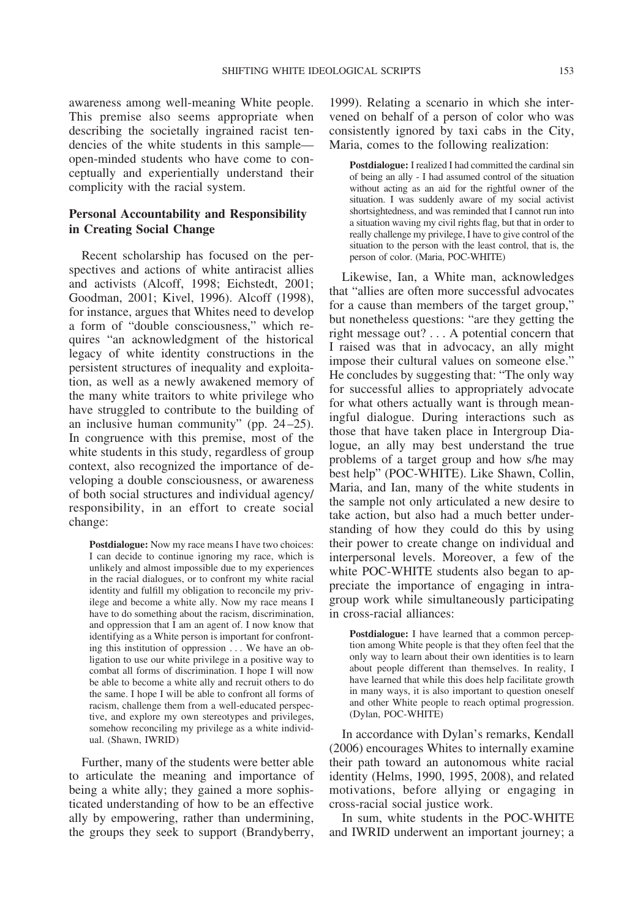awareness among well-meaning White people. This premise also seems appropriate when describing the societally ingrained racist tendencies of the white students in this sample open-minded students who have come to conceptually and experientially understand their complicity with the racial system.

# **Personal Accountability and Responsibility in Creating Social Change**

Recent scholarship has focused on the perspectives and actions of white antiracist allies and activists (Alcoff, 1998; Eichstedt, 2001; Goodman, 2001; Kivel, 1996). Alcoff (1998), for instance, argues that Whites need to develop a form of "double consciousness," which requires "an acknowledgment of the historical legacy of white identity constructions in the persistent structures of inequality and exploitation, as well as a newly awakened memory of the many white traitors to white privilege who have struggled to contribute to the building of an inclusive human community" (pp. 24 –25). In congruence with this premise, most of the white students in this study, regardless of group context, also recognized the importance of developing a double consciousness, or awareness of both social structures and individual agency/ responsibility, in an effort to create social change:

**Postdialogue:** Now my race means I have two choices: I can decide to continue ignoring my race, which is unlikely and almost impossible due to my experiences in the racial dialogues, or to confront my white racial identity and fulfill my obligation to reconcile my privilege and become a white ally. Now my race means I have to do something about the racism, discrimination, and oppression that  $\tilde{I}$  am an agent of. I now know that identifying as a White person is important for confronting this institution of oppression . . . We have an obligation to use our white privilege in a positive way to combat all forms of discrimination. I hope I will now be able to become a white ally and recruit others to do the same. I hope I will be able to confront all forms of racism, challenge them from a well-educated perspective, and explore my own stereotypes and privileges, somehow reconciling my privilege as a white individual. (Shawn, IWRID)

Further, many of the students were better able to articulate the meaning and importance of being a white ally; they gained a more sophisticated understanding of how to be an effective ally by empowering, rather than undermining, the groups they seek to support (Brandyberry,

1999). Relating a scenario in which she intervened on behalf of a person of color who was consistently ignored by taxi cabs in the City, Maria, comes to the following realization:

**Postdialogue:** I realized I had committed the cardinal sin of being an ally - I had assumed control of the situation without acting as an aid for the rightful owner of the situation. I was suddenly aware of my social activist shortsightedness, and was reminded that I cannot run into a situation waving my civil rights flag, but that in order to really challenge my privilege, I have to give control of the situation to the person with the least control, that is, the person of color. (Maria, POC-WHITE)

Likewise, Ian, a White man, acknowledges that "allies are often more successful advocates for a cause than members of the target group," but nonetheless questions: "are they getting the right message out? . . . A potential concern that I raised was that in advocacy, an ally might impose their cultural values on someone else." He concludes by suggesting that: "The only way for successful allies to appropriately advocate for what others actually want is through meaningful dialogue. During interactions such as those that have taken place in Intergroup Dialogue, an ally may best understand the true problems of a target group and how s/he may best help" (POC-WHITE). Like Shawn, Collin, Maria, and Ian, many of the white students in the sample not only articulated a new desire to take action, but also had a much better understanding of how they could do this by using their power to create change on individual and interpersonal levels. Moreover, a few of the white POC-WHITE students also began to appreciate the importance of engaging in intragroup work while simultaneously participating in cross-racial alliances:

**Postdialogue:** I have learned that a common perception among White people is that they often feel that the only way to learn about their own identities is to learn about people different than themselves. In reality, I have learned that while this does help facilitate growth in many ways, it is also important to question oneself and other White people to reach optimal progression. (Dylan, POC-WHITE)

In accordance with Dylan's remarks, Kendall (2006) encourages Whites to internally examine their path toward an autonomous white racial identity (Helms, 1990, 1995, 2008), and related motivations, before allying or engaging in cross-racial social justice work.

In sum, white students in the POC-WHITE and IWRID underwent an important journey; a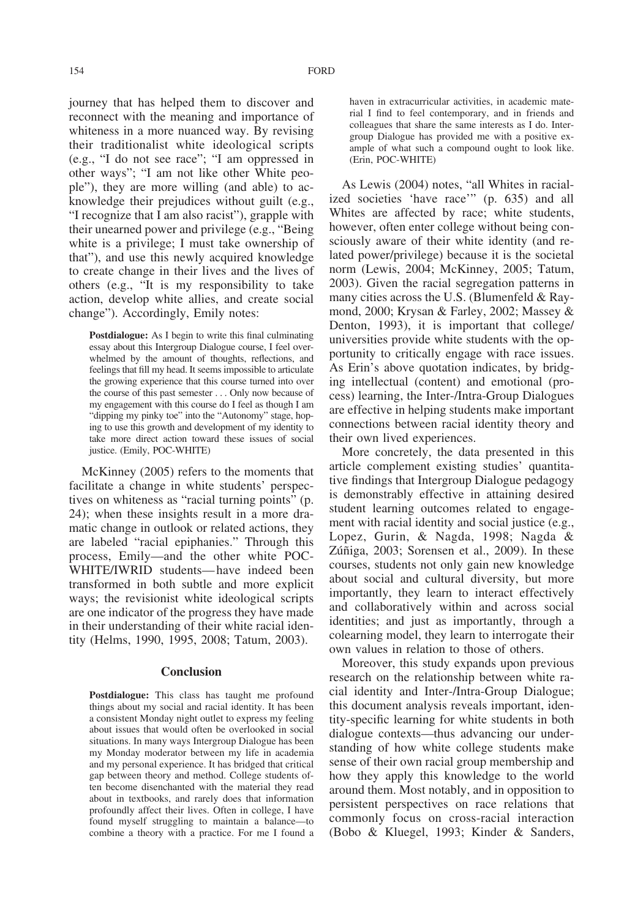journey that has helped them to discover and reconnect with the meaning and importance of whiteness in a more nuanced way. By revising their traditionalist white ideological scripts (e.g., "I do not see race"; "I am oppressed in other ways"; "I am not like other White people"), they are more willing (and able) to acknowledge their prejudices without guilt (e.g., "I recognize that I am also racist"), grapple with their unearned power and privilege (e.g., "Being white is a privilege; I must take ownership of that"), and use this newly acquired knowledge to create change in their lives and the lives of others (e.g., "It is my responsibility to take action, develop white allies, and create social change"). Accordingly, Emily notes:

**Postdialogue:** As I begin to write this final culminating essay about this Intergroup Dialogue course, I feel overwhelmed by the amount of thoughts, reflections, and feelings that fill my head. It seems impossible to articulate the growing experience that this course turned into over the course of this past semester . . . Only now because of my engagement with this course do I feel as though I am "dipping my pinky toe" into the "Autonomy" stage, hoping to use this growth and development of my identity to take more direct action toward these issues of social justice. (Emily, POC-WHITE)

McKinney (2005) refers to the moments that facilitate a change in white students' perspectives on whiteness as "racial turning points" (p. 24); when these insights result in a more dramatic change in outlook or related actions, they are labeled "racial epiphanies." Through this process, Emily—and the other white POC-WHITE/IWRID students— have indeed been transformed in both subtle and more explicit ways; the revisionist white ideological scripts are one indicator of the progress they have made in their understanding of their white racial identity (Helms, 1990, 1995, 2008; Tatum, 2003).

### **Conclusion**

**Postdialogue:** This class has taught me profound things about my social and racial identity. It has been a consistent Monday night outlet to express my feeling about issues that would often be overlooked in social situations. In many ways Intergroup Dialogue has been my Monday moderator between my life in academia and my personal experience. It has bridged that critical gap between theory and method. College students often become disenchanted with the material they read about in textbooks, and rarely does that information profoundly affect their lives. Often in college, I have found myself struggling to maintain a balance—to combine a theory with a practice. For me I found a haven in extracurricular activities, in academic material I find to feel contemporary, and in friends and colleagues that share the same interests as I do. Intergroup Dialogue has provided me with a positive example of what such a compound ought to look like. (Erin, POC-WHITE)

As Lewis (2004) notes, "all Whites in racialized societies 'have race'" (p. 635) and all Whites are affected by race; white students, however, often enter college without being consciously aware of their white identity (and related power/privilege) because it is the societal norm (Lewis, 2004; McKinney, 2005; Tatum, 2003). Given the racial segregation patterns in many cities across the U.S. (Blumenfeld & Raymond, 2000; Krysan & Farley, 2002; Massey & Denton, 1993), it is important that college/ universities provide white students with the opportunity to critically engage with race issues. As Erin's above quotation indicates, by bridging intellectual (content) and emotional (process) learning, the Inter-/Intra-Group Dialogues are effective in helping students make important connections between racial identity theory and their own lived experiences.

More concretely, the data presented in this article complement existing studies' quantitative findings that Intergroup Dialogue pedagogy is demonstrably effective in attaining desired student learning outcomes related to engagement with racial identity and social justice (e.g., Lopez, Gurin, & Nagda, 1998; Nagda & Zúñiga, 2003; Sorensen et al., 2009). In these courses, students not only gain new knowledge about social and cultural diversity, but more importantly, they learn to interact effectively and collaboratively within and across social identities; and just as importantly, through a colearning model, they learn to interrogate their own values in relation to those of others.

Moreover, this study expands upon previous research on the relationship between white racial identity and Inter-/Intra-Group Dialogue; this document analysis reveals important, identity-specific learning for white students in both dialogue contexts—thus advancing our understanding of how white college students make sense of their own racial group membership and how they apply this knowledge to the world around them. Most notably, and in opposition to persistent perspectives on race relations that commonly focus on cross-racial interaction (Bobo & Kluegel, 1993; Kinder & Sanders,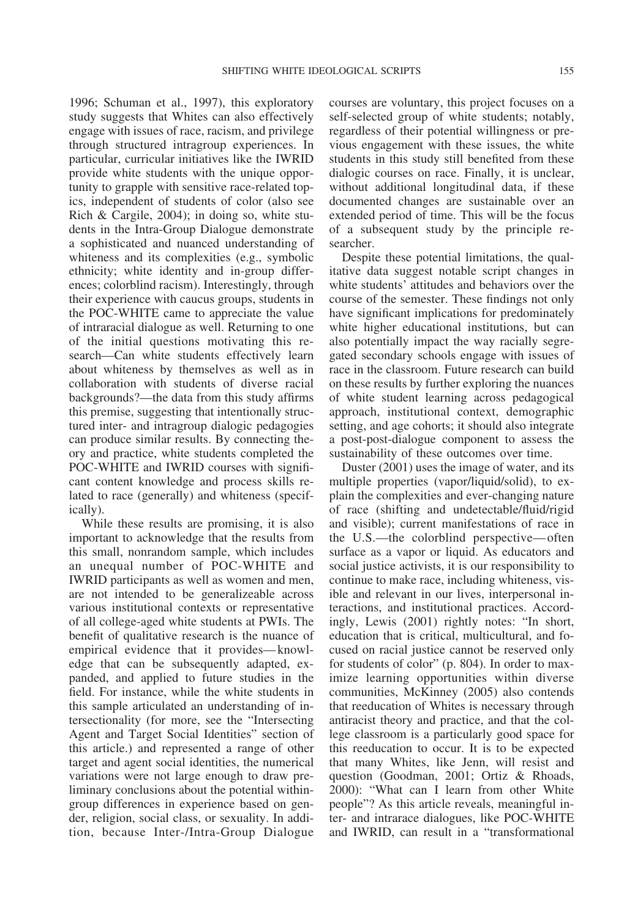1996; Schuman et al., 1997), this exploratory study suggests that Whites can also effectively engage with issues of race, racism, and privilege through structured intragroup experiences. In particular, curricular initiatives like the IWRID provide white students with the unique opportunity to grapple with sensitive race-related topics, independent of students of color (also see Rich & Cargile, 2004); in doing so, white students in the Intra-Group Dialogue demonstrate a sophisticated and nuanced understanding of whiteness and its complexities (e.g., symbolic ethnicity; white identity and in-group differences; colorblind racism). Interestingly, through their experience with caucus groups, students in the POC-WHITE came to appreciate the value of intraracial dialogue as well. Returning to one of the initial questions motivating this research—Can white students effectively learn about whiteness by themselves as well as in collaboration with students of diverse racial backgrounds?—the data from this study affirms this premise, suggesting that intentionally structured inter- and intragroup dialogic pedagogies can produce similar results. By connecting theory and practice, white students completed the POC-WHITE and IWRID courses with significant content knowledge and process skills related to race (generally) and whiteness (specifically).

While these results are promising, it is also important to acknowledge that the results from this small, nonrandom sample, which includes an unequal number of POC-WHITE and IWRID participants as well as women and men, are not intended to be generalizeable across various institutional contexts or representative of all college-aged white students at PWIs. The benefit of qualitative research is the nuance of empirical evidence that it provides— knowledge that can be subsequently adapted, expanded, and applied to future studies in the field. For instance, while the white students in this sample articulated an understanding of intersectionality (for more, see the "Intersecting Agent and Target Social Identities" section of this article.) and represented a range of other target and agent social identities, the numerical variations were not large enough to draw preliminary conclusions about the potential withingroup differences in experience based on gender, religion, social class, or sexuality. In addition, because Inter-/Intra-Group Dialogue

courses are voluntary, this project focuses on a self-selected group of white students; notably, regardless of their potential willingness or previous engagement with these issues, the white students in this study still benefited from these dialogic courses on race. Finally, it is unclear, without additional longitudinal data, if these documented changes are sustainable over an extended period of time. This will be the focus of a subsequent study by the principle researcher.

Despite these potential limitations, the qualitative data suggest notable script changes in white students' attitudes and behaviors over the course of the semester. These findings not only have significant implications for predominately white higher educational institutions, but can also potentially impact the way racially segregated secondary schools engage with issues of race in the classroom. Future research can build on these results by further exploring the nuances of white student learning across pedagogical approach, institutional context, demographic setting, and age cohorts; it should also integrate a post-post-dialogue component to assess the sustainability of these outcomes over time.

Duster (2001) uses the image of water, and its multiple properties (vapor/liquid/solid), to explain the complexities and ever-changing nature of race (shifting and undetectable/fluid/rigid and visible); current manifestations of race in the U.S.—the colorblind perspective— often surface as a vapor or liquid. As educators and social justice activists, it is our responsibility to continue to make race, including whiteness, visible and relevant in our lives, interpersonal interactions, and institutional practices. Accordingly, Lewis (2001) rightly notes: "In short, education that is critical, multicultural, and focused on racial justice cannot be reserved only for students of color" (p. 804). In order to maximize learning opportunities within diverse communities, McKinney (2005) also contends that reeducation of Whites is necessary through antiracist theory and practice, and that the college classroom is a particularly good space for this reeducation to occur. It is to be expected that many Whites, like Jenn, will resist and question (Goodman, 2001; Ortiz & Rhoads, 2000): "What can I learn from other White people"? As this article reveals, meaningful inter- and intrarace dialogues, like POC-WHITE and IWRID, can result in a "transformational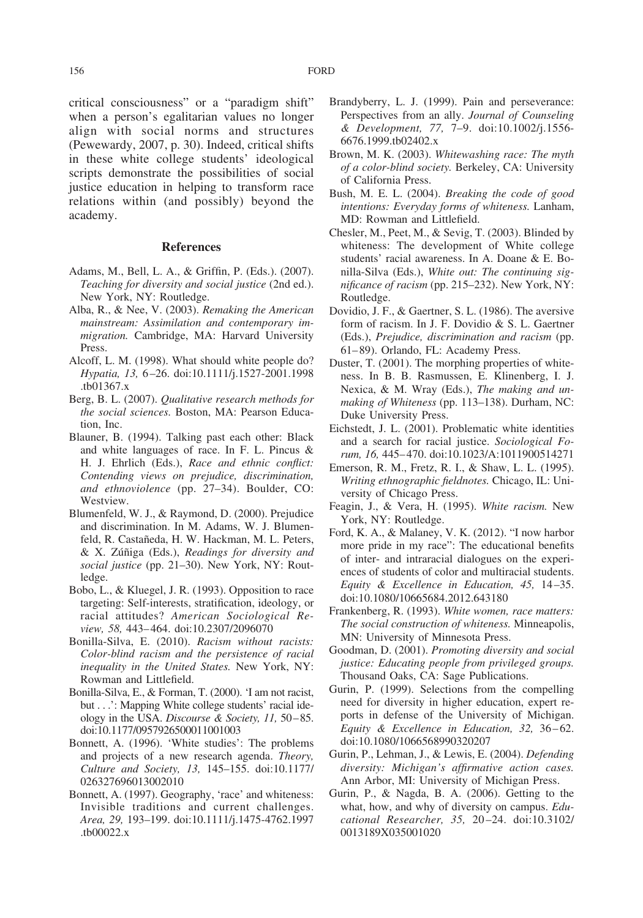critical consciousness" or a "paradigm shift" when a person's egalitarian values no longer align with social norms and structures (Pewewardy, 2007, p. 30). Indeed, critical shifts in these white college students' ideological scripts demonstrate the possibilities of social justice education in helping to transform race relations within (and possibly) beyond the academy.

#### **References**

- Adams, M., Bell, L. A., & Griffin, P. (Eds.). (2007). *Teaching for diversity and social justice* (2nd ed.). New York, NY: Routledge.
- Alba, R., & Nee, V. (2003). *Remaking the American mainstream: Assimilation and contemporary immigration.* Cambridge, MA: Harvard University Press.
- Alcoff, L. M. (1998). What should white people do? *Hypatia, 13,* 6 –26. doi:10.1111/j.1527-2001.1998 .tb01367.x
- Berg, B. L. (2007). *Qualitative research methods for the social sciences.* Boston, MA: Pearson Education, Inc.
- Blauner, B. (1994). Talking past each other: Black and white languages of race. In F. L. Pincus & H. J. Ehrlich (Eds.), *Race and ethnic conflict: Contending views on prejudice, discrimination, and ethnoviolence* (pp. 27–34). Boulder, CO: Westview.
- Blumenfeld, W. J., & Raymond, D. (2000). Prejudice and discrimination. In M. Adams, W. J. Blumenfeld, R. Castañeda, H. W. Hackman, M. L. Peters,  $&$  X. Zúñiga (Eds.), *Readings for diversity and social justice* (pp. 21–30). New York, NY: Routledge.
- Bobo, L., & Kluegel, J. R. (1993). Opposition to race targeting: Self-interests, stratification, ideology, or racial attitudes? *American Sociological Review, 58,* 443– 464. doi:10.2307/2096070
- Bonilla-Silva, E. (2010). *Racism without racists: Color-blind racism and the persistence of racial inequality in the United States.* New York, NY: Rowman and Littlefield.
- Bonilla-Silva, E., & Forman, T. (2000). 'I am not racist, but . . . ': Mapping White college students' racial ideology in the USA. *Discourse & Society*, 11, 50–85. doi:10.1177/0957926500011001003
- Bonnett, A. (1996). 'White studies': The problems and projects of a new research agenda. *Theory, Culture and Society, 13,* 145–155. doi:10.1177/ 026327696013002010
- Bonnett, A. (1997). Geography, 'race' and whiteness: Invisible traditions and current challenges. *Area, 29,* 193–199. doi:10.1111/j.1475-4762.1997 .tb00022.x
- Brandyberry, L. J. (1999). Pain and perseverance: Perspectives from an ally. *Journal of Counseling & Development, 77,* 7–9. doi:10.1002/j.1556- 6676.1999.tb02402.x
- Brown, M. K. (2003). *Whitewashing race: The myth of a color-blind society.* Berkeley, CA: University of California Press.
- Bush, M. E. L. (2004). *Breaking the code of good intentions: Everyday forms of whiteness.* Lanham, MD: Rowman and Littlefield.
- Chesler, M., Peet, M., & Sevig, T. (2003). Blinded by whiteness: The development of White college students' racial awareness. In A. Doane & E. Bonilla-Silva (Eds.), *White out: The continuing significance of racism* (pp. 215–232). New York, NY: Routledge.
- Dovidio, J. F., & Gaertner, S. L. (1986). The aversive form of racism. In J. F. Dovidio & S. L. Gaertner (Eds.), *Prejudice, discrimination and racism* (pp. 61– 89). Orlando, FL: Academy Press.
- Duster, T. (2001). The morphing properties of whiteness. In B. B. Rasmussen, E. Klinenberg, I. J. Nexica, & M. Wray (Eds.), *The making and unmaking of Whiteness* (pp. 113–138). Durham, NC: Duke University Press.
- Eichstedt, J. L. (2001). Problematic white identities and a search for racial justice. *Sociological Forum, 16,* 445– 470. doi:10.1023/A:1011900514271
- Emerson, R. M., Fretz, R. I., & Shaw, L. L. (1995). *Writing ethnographic fieldnotes.* Chicago, IL: University of Chicago Press.
- Feagin, J., & Vera, H. (1995). *White racism.* New York, NY: Routledge.
- Ford, K. A., & Malaney, V. K. (2012). "I now harbor more pride in my race": The educational benefits of inter- and intraracial dialogues on the experiences of students of color and multiracial students. *Equity & Excellence in Education, 45,* 14 –35. doi:10.1080/10665684.2012.643180
- Frankenberg, R. (1993). *White women, race matters: The social construction of whiteness.* Minneapolis, MN: University of Minnesota Press.
- Goodman, D. (2001). *Promoting diversity and social justice: Educating people from privileged groups.* Thousand Oaks, CA: Sage Publications.
- Gurin, P. (1999). Selections from the compelling need for diversity in higher education, expert reports in defense of the University of Michigan. *Equity & Excellence in Education, 32, 36-62.* doi:10.1080/1066568990320207
- Gurin, P., Lehman, J., & Lewis, E. (2004). *Defending diversity: Michigan's affirmative action cases.* Ann Arbor, MI: University of Michigan Press.
- Gurin, P., & Nagda, B. A. (2006). Getting to the what, how, and why of diversity on campus. *Educational Researcher, 35,* 20 –24. doi:10.3102/ 0013189X035001020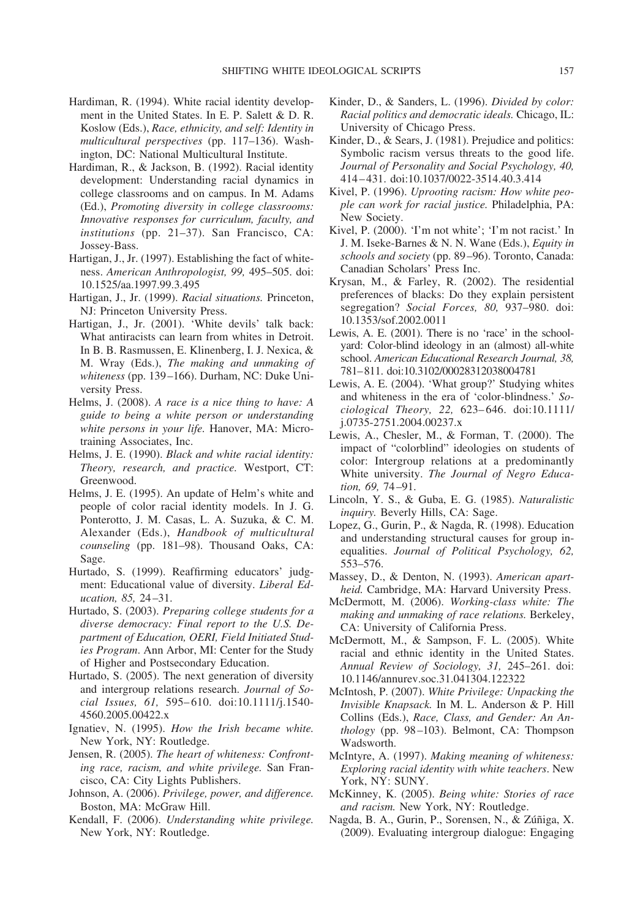- Hardiman, R. (1994). White racial identity development in the United States. In E. P. Salett & D. R. Koslow (Eds.), *Race, ethnicity, and self: Identity in multicultural perspectives* (pp. 117–136). Washington, DC: National Multicultural Institute.
- Hardiman, R., & Jackson, B. (1992). Racial identity development: Understanding racial dynamics in college classrooms and on campus. In M. Adams (Ed.), *Promoting diversity in college classrooms: Innovative responses for curriculum, faculty, and institutions* (pp. 21–37). San Francisco, CA: Jossey-Bass.
- Hartigan, J., Jr. (1997). Establishing the fact of whiteness. *American Anthropologist, 99,* 495–505. doi: 10.1525/aa.1997.99.3.495
- Hartigan, J., Jr. (1999). *Racial situations.* Princeton, NJ: Princeton University Press.
- Hartigan, J., Jr. (2001). 'White devils' talk back: What antiracists can learn from whites in Detroit. In B. B. Rasmussen, E. Klinenberg, I. J. Nexica, & M. Wray (Eds.), *The making and unmaking of whiteness* (pp. 139 –166). Durham, NC: Duke University Press.
- Helms, J. (2008). *A race is a nice thing to have: A guide to being a white person or understanding white persons in your life.* Hanover, MA: Microtraining Associates, Inc.
- Helms, J. E. (1990). *Black and white racial identity: Theory, research, and practice.* Westport, CT: Greenwood.
- Helms, J. E. (1995). An update of Helm's white and people of color racial identity models. In J. G. Ponterotto, J. M. Casas, L. A. Suzuka, & C. M. Alexander (Eds.), *Handbook of multicultural counseling* (pp. 181–98). Thousand Oaks, CA: Sage.
- Hurtado, S. (1999). Reaffirming educators' judgment: Educational value of diversity. *Liberal Education, 85,* 24 –31.
- Hurtado, S. (2003). *Preparing college students for a diverse democracy: Final report to the U.S. Department of Education, OERI, Field Initiated Studies Program*. Ann Arbor, MI: Center for the Study of Higher and Postsecondary Education.
- Hurtado, S. (2005). The next generation of diversity and intergroup relations research. *Journal of Social Issues, 61,* 595– 610. doi:10.1111/j.1540- 4560.2005.00422.x
- Ignatiev, N. (1995). *How the Irish became white.* New York, NY: Routledge.
- Jensen, R. (2005). *The heart of whiteness: Confronting race, racism, and white privilege.* San Francisco, CA: City Lights Publishers.
- Johnson, A. (2006). *Privilege, power, and difference.* Boston, MA: McGraw Hill.
- Kendall, F. (2006). *Understanding white privilege.* New York, NY: Routledge.
- Kinder, D., & Sanders, L. (1996). *Divided by color: Racial politics and democratic ideals.* Chicago, IL: University of Chicago Press.
- Kinder, D., & Sears, J. (1981). Prejudice and politics: Symbolic racism versus threats to the good life. *Journal of Personality and Social Psychology, 40,* 414 – 431. doi:10.1037/0022-3514.40.3.414
- Kivel, P. (1996). *Uprooting racism: How white people can work for racial justice.* Philadelphia, PA: New Society.
- Kivel, P. (2000). 'I'm not white'; 'I'm not racist.' In J. M. Iseke-Barnes & N. N. Wane (Eds.), *Equity in schools and society* (pp. 89 –96). Toronto, Canada: Canadian Scholars' Press Inc.
- Krysan, M., & Farley, R. (2002). The residential preferences of blacks: Do they explain persistent segregation? *Social Forces, 80,* 937–980. doi: 10.1353/sof.2002.0011
- Lewis, A. E. (2001). There is no 'race' in the schoolyard: Color-blind ideology in an (almost) all-white school. *American Educational Research Journal, 38,* 781– 811. doi:10.3102/00028312038004781
- Lewis, A. E. (2004). 'What group?' Studying whites and whiteness in the era of 'color-blindness.' *Sociological Theory, 22,* 623– 646. doi:10.1111/ j.0735-2751.2004.00237.x
- Lewis, A., Chesler, M., & Forman, T. (2000). The impact of "colorblind" ideologies on students of color: Intergroup relations at a predominantly White university. *The Journal of Negro Education, 69,* 74 –91.
- Lincoln, Y. S., & Guba, E. G. (1985). *Naturalistic inquiry.* Beverly Hills, CA: Sage.
- Lopez, G., Gurin, P., & Nagda, R. (1998). Education and understanding structural causes for group inequalities. *Journal of Political Psychology, 62,* 553–576.
- Massey, D., & Denton, N. (1993). *American apartheid.* Cambridge, MA: Harvard University Press.
- McDermott, M. (2006). *Working-class white: The making and unmaking of race relations.* Berkeley, CA: University of California Press.
- McDermott, M., & Sampson, F. L. (2005). White racial and ethnic identity in the United States. *Annual Review of Sociology, 31,* 245–261. doi: 10.1146/annurev.soc.31.041304.122322
- McIntosh, P. (2007). *White Privilege: Unpacking the Invisible Knapsack.* In M. L. Anderson & P. Hill Collins (Eds.), *Race, Class, and Gender: An Anthology* (pp. 98 –103). Belmont, CA: Thompson Wadsworth.
- McIntyre, A. (1997). *Making meaning of whiteness: Exploring racial identity with white teachers*. New York, NY: SUNY.
- McKinney, K. (2005). *Being white: Stories of race and racism.* New York, NY: Routledge.
- Nagda, B. A., Gurin, P., Sorensen, N., & Zúñiga, X. (2009). Evaluating intergroup dialogue: Engaging